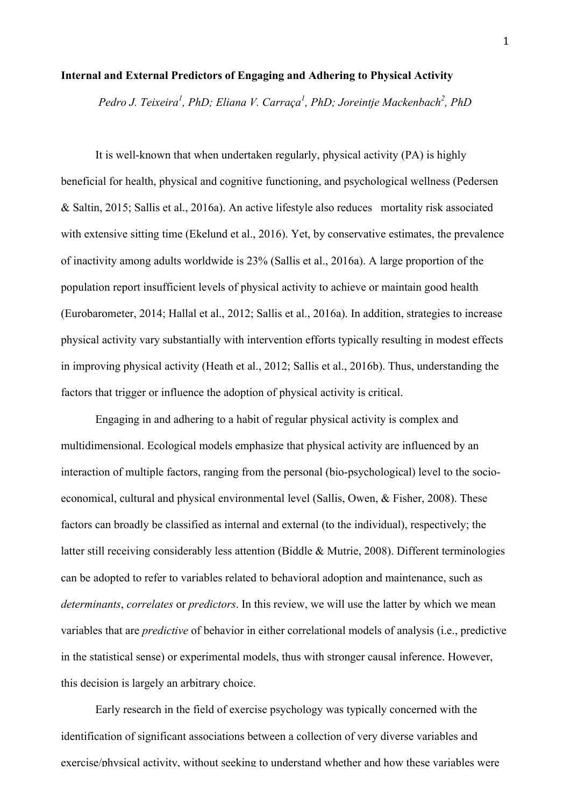#### **Internal and External Predictors of Engaging and Adhering to Physical Activity**

*Pedro J. Teixeira<sup>1</sup> , PhD; Eliana V. Carraça<sup>1</sup> , PhD; Joreintje Mackenbach<sup>2</sup> , PhD*

It is well-known that when undertaken regularly, physical activity (PA) is highly beneficial for health, physical and cognitive functioning, and psychological wellness (Pedersen & Saltin, 2015; Sallis et al., 2016a). An active lifestyle also reduces mortality risk associated with extensive sitting time (Ekelund et al., 2016). Yet, by conservative estimates, the prevalence of inactivity among adults worldwide is 23% (Sallis et al., 2016a). A large proportion of the population report insufficient levels of physical activity to achieve or maintain good health (Eurobarometer, 2014; Hallal et al., 2012; Sallis et al., 2016a). In addition, strategies to increase physical activity vary substantially with intervention efforts typically resulting in modest effects in improving physical activity (Heath et al., 2012; Sallis et al., 2016b). Thus, understanding the factors that trigger or influence the adoption of physical activity is critical.

Engaging in and adhering to a habit of regular physical activity is complex and multidimensional. Ecological models emphasize that physical activity are influenced by an interaction of multiple factors, ranging from the personal (bio-psychological) level to the socioeconomical, cultural and physical environmental level (Sallis, Owen, & Fisher, 2008). These factors can broadly be classified as internal and external (to the individual), respectively; the latter still receiving considerably less attention (Biddle & Mutrie, 2008). Different terminologies can be adopted to refer to variables related to behavioral adoption and maintenance, such as *determinants*, *correlates* or *predictors*. In this review, we will use the latter by which we mean variables that are *predictive* of behavior in either correlational models of analysis (i.e., predictive in the statistical sense) or experimental models, thus with stronger causal inference. However, this decision is largely an arbitrary choice.

Early research in the field of exercise psychology was typically concerned with the identification of significant associations between a collection of very diverse variables and exercise/physical activity, without seeking to understand whether and how these variables were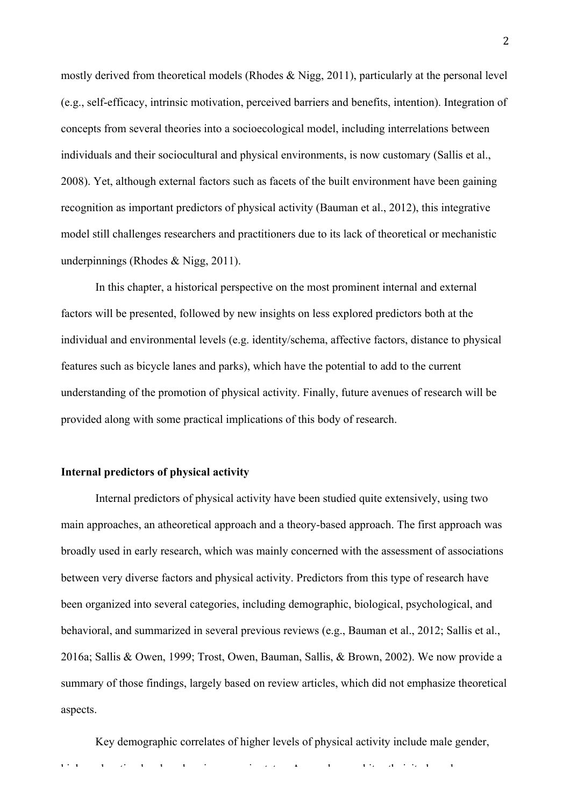mostly derived from theoretical models (Rhodes & Nigg, 2011), particularly at the personal level (e.g., self-efficacy, intrinsic motivation, perceived barriers and benefits, intention). Integration of concepts from several theories into a socioecological model, including interrelations between individuals and their sociocultural and physical environments, is now customary (Sallis et al., 2008). Yet, although external factors such as facets of the built environment have been gaining recognition as important predictors of physical activity (Bauman et al., 2012), this integrative model still challenges researchers and practitioners due to its lack of theoretical or mechanistic underpinnings (Rhodes & Nigg, 2011).

In this chapter, a historical perspective on the most prominent internal and external factors will be presented, followed by new insights on less explored predictors both at the individual and environmental levels (e.g. identity/schema, affective factors, distance to physical features such as bicycle lanes and parks), which have the potential to add to the current understanding of the promotion of physical activity. Finally, future avenues of research will be provided along with some practical implications of this body of research.

### **Internal predictors of physical activity**

Internal predictors of physical activity have been studied quite extensively, using two main approaches, an atheoretical approach and a theory-based approach. The first approach was broadly used in early research, which was mainly concerned with the assessment of associations between very diverse factors and physical activity. Predictors from this type of research have been organized into several categories, including demographic, biological, psychological, and behavioral, and summarized in several previous reviews (e.g., Bauman et al., 2012; Sallis et al., 2016a; Sallis & Owen, 1999; Trost, Owen, Bauman, Sallis, & Brown, 2002). We now provide a summary of those findings, largely based on review articles, which did not emphasize theoretical aspects.

Key demographic correlates of higher levels of physical activity include male gender, higher education level, and socioeconomic status. Age and non-white ethnicity have been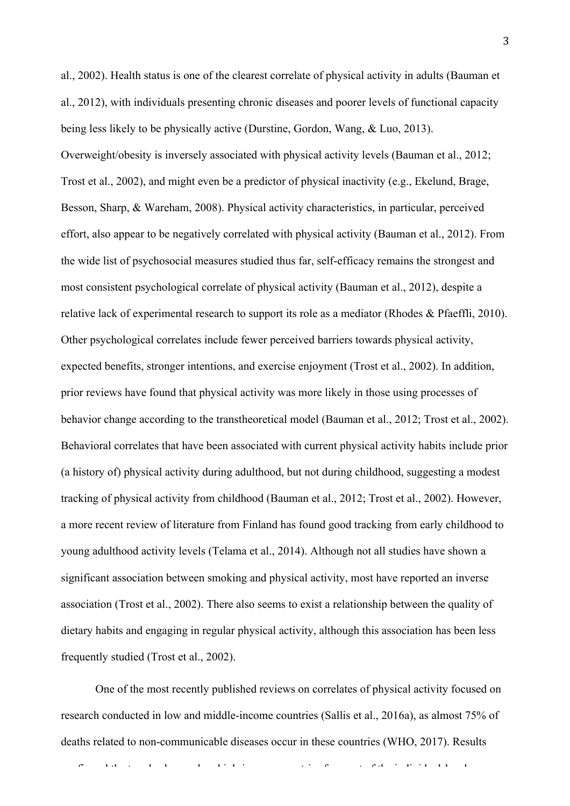al., 2002). Health status is one of the clearest correlate of physical activity in adults (Bauman et al., 2012), with individuals presenting chronic diseases and poorer levels of functional capacity being less likely to be physically active (Durstine, Gordon, Wang, & Luo, 2013). Overweight/obesity is inversely associated with physical activity levels (Bauman et al., 2012; Trost et al., 2002), and might even be a predictor of physical inactivity (e.g., Ekelund, Brage, Besson, Sharp, & Wareham, 2008). Physical activity characteristics, in particular, perceived effort, also appear to be negatively correlated with physical activity (Bauman et al., 2012). From the wide list of psychosocial measures studied thus far, self-efficacy remains the strongest and most consistent psychological correlate of physical activity (Bauman et al., 2012), despite a relative lack of experimental research to support its role as a mediator (Rhodes & Pfaeffli, 2010). Other psychological correlates include fewer perceived barriers towards physical activity, expected benefits, stronger intentions, and exercise enjoyment (Trost et al., 2002). In addition, prior reviews have found that physical activity was more likely in those using processes of behavior change according to the transtheoretical model (Bauman et al., 2012; Trost et al., 2002). Behavioral correlates that have been associated with current physical activity habits include prior (a history of) physical activity during adulthood, but not during childhood, suggesting a modest tracking of physical activity from childhood (Bauman et al., 2012; Trost et al., 2002). However, a more recent review of literature from Finland has found good tracking from early childhood to young adulthood activity levels (Telama et al., 2014). Although not all studies have shown a significant association between smoking and physical activity, most have reported an inverse association (Trost et al., 2002). There also seems to exist a relationship between the quality of dietary habits and engaging in regular physical activity, although this association has been less frequently studied (Trost et al., 2002).

One of the most recently published reviews on correlates of physical activity focused on research conducted in low and middle-income countries (Sallis et al., 2016a), as almost 75% of deaths related to non-communicable diseases occur in these countries (WHO, 2017). Results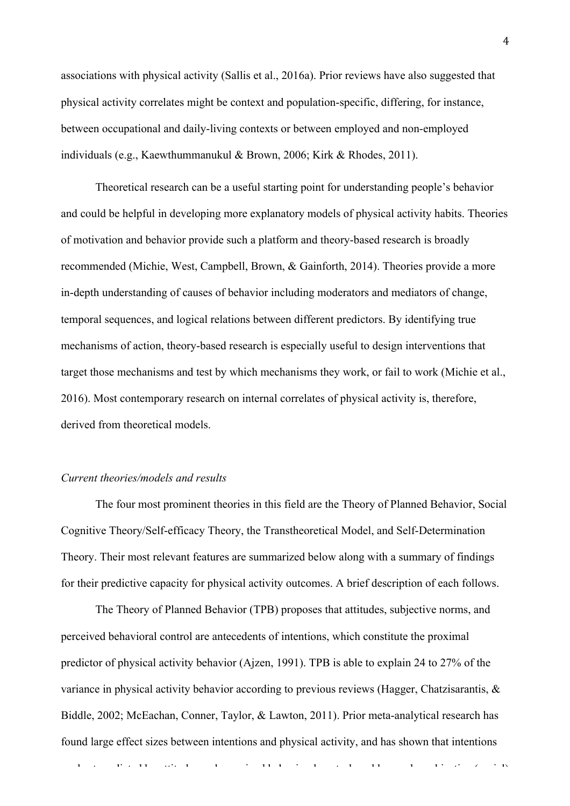associations with physical activity (Sallis et al., 2016a). Prior reviews have also suggested that physical activity correlates might be context and population-specific, differing, for instance, between occupational and daily-living contexts or between employed and non-employed individuals (e.g., Kaewthummanukul & Brown, 2006; Kirk & Rhodes, 2011).

Theoretical research can be a useful starting point for understanding people's behavior and could be helpful in developing more explanatory models of physical activity habits. Theories of motivation and behavior provide such a platform and theory-based research is broadly recommended (Michie, West, Campbell, Brown, & Gainforth, 2014). Theories provide a more in-depth understanding of causes of behavior including moderators and mediators of change, temporal sequences, and logical relations between different predictors. By identifying true mechanisms of action, theory-based research is especially useful to design interventions that target those mechanisms and test by which mechanisms they work, or fail to work (Michie et al., 2016). Most contemporary research on internal correlates of physical activity is, therefore, derived from theoretical models.

## *Current theories/models and results*

The four most prominent theories in this field are the Theory of Planned Behavior, Social Cognitive Theory/Self-efficacy Theory, the Transtheoretical Model, and Self-Determination Theory. Their most relevant features are summarized below along with a summary of findings for their predictive capacity for physical activity outcomes. A brief description of each follows.

The Theory of Planned Behavior (TPB) proposes that attitudes, subjective norms, and perceived behavioral control are antecedents of intentions, which constitute the proximal predictor of physical activity behavior (Ajzen, 1991). TPB is able to explain 24 to 27% of the variance in physical activity behavior according to previous reviews (Hagger, Chatzisarantis, & Biddle, 2002; McEachan, Conner, Taylor, & Lawton, 2011). Prior meta-analytical research has found large effect sizes between intentions and physical activity, and has shown that intentions

are best predicted by attitudes and perceived behavioral control, and less social, and less social, and less social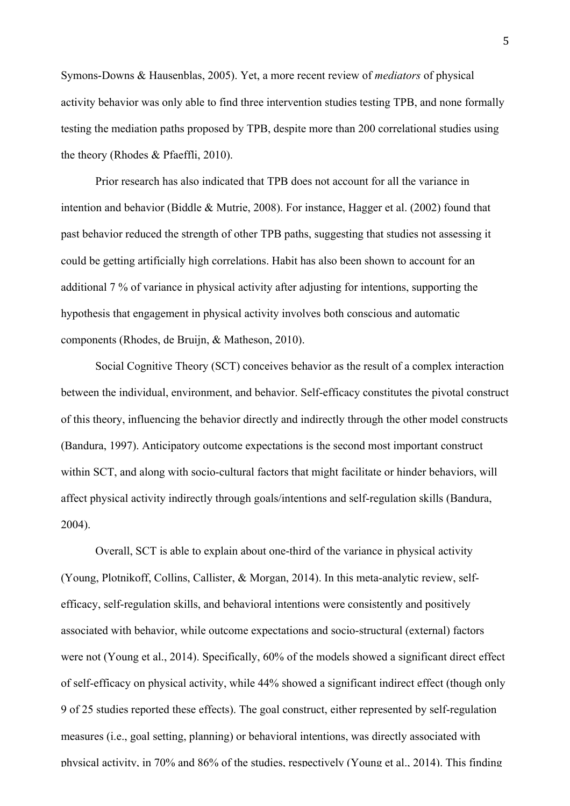Symons-Downs & Hausenblas, 2005). Yet, a more recent review of *mediators* of physical activity behavior was only able to find three intervention studies testing TPB, and none formally testing the mediation paths proposed by TPB, despite more than 200 correlational studies using the theory (Rhodes & Pfaeffli, 2010).

Prior research has also indicated that TPB does not account for all the variance in intention and behavior (Biddle & Mutrie, 2008). For instance, Hagger et al. (2002) found that past behavior reduced the strength of other TPB paths, suggesting that studies not assessing it could be getting artificially high correlations. Habit has also been shown to account for an additional 7 % of variance in physical activity after adjusting for intentions, supporting the hypothesis that engagement in physical activity involves both conscious and automatic components (Rhodes, de Bruijn, & Matheson, 2010).

Social Cognitive Theory (SCT) conceives behavior as the result of a complex interaction between the individual, environment, and behavior. Self-efficacy constitutes the pivotal construct of this theory, influencing the behavior directly and indirectly through the other model constructs (Bandura, 1997). Anticipatory outcome expectations is the second most important construct within SCT, and along with socio-cultural factors that might facilitate or hinder behaviors, will affect physical activity indirectly through goals/intentions and self-regulation skills (Bandura, 2004).

Overall, SCT is able to explain about one-third of the variance in physical activity (Young, Plotnikoff, Collins, Callister, & Morgan, 2014). In this meta-analytic review, selfefficacy, self-regulation skills, and behavioral intentions were consistently and positively associated with behavior, while outcome expectations and socio-structural (external) factors were not (Young et al., 2014). Specifically, 60% of the models showed a significant direct effect of self-efficacy on physical activity, while 44% showed a significant indirect effect (though only 9 of 25 studies reported these effects). The goal construct, either represented by self-regulation measures (i.e., goal setting, planning) or behavioral intentions, was directly associated with physical activity, in 70% and 86% of the studies, respectively (Young et al., 2014). This finding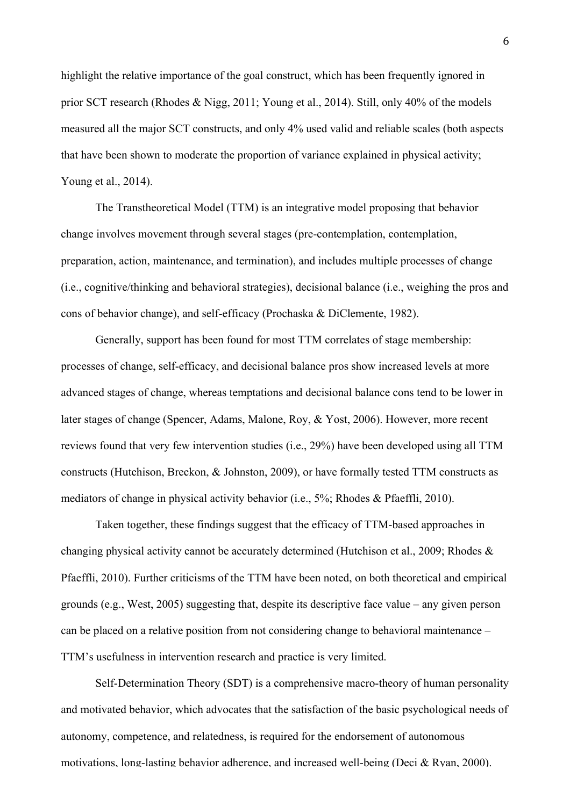highlight the relative importance of the goal construct, which has been frequently ignored in prior SCT research (Rhodes & Nigg, 2011; Young et al., 2014). Still, only 40% of the models measured all the major SCT constructs, and only 4% used valid and reliable scales (both aspects that have been shown to moderate the proportion of variance explained in physical activity; Young et al., 2014).

The Transtheoretical Model (TTM) is an integrative model proposing that behavior change involves movement through several stages (pre-contemplation, contemplation, preparation, action, maintenance, and termination), and includes multiple processes of change (i.e., cognitive/thinking and behavioral strategies), decisional balance (i.e., weighing the pros and cons of behavior change), and self-efficacy (Prochaska & DiClemente, 1982).

Generally, support has been found for most TTM correlates of stage membership: processes of change, self-efficacy, and decisional balance pros show increased levels at more advanced stages of change, whereas temptations and decisional balance cons tend to be lower in later stages of change (Spencer, Adams, Malone, Roy, & Yost, 2006). However, more recent reviews found that very few intervention studies (i.e., 29%) have been developed using all TTM constructs (Hutchison, Breckon, & Johnston, 2009), or have formally tested TTM constructs as mediators of change in physical activity behavior (i.e., 5%; Rhodes & Pfaeffli, 2010).

Taken together, these findings suggest that the efficacy of TTM-based approaches in changing physical activity cannot be accurately determined (Hutchison et al., 2009; Rhodes & Pfaeffli, 2010). Further criticisms of the TTM have been noted, on both theoretical and empirical grounds (e.g., West, 2005) suggesting that, despite its descriptive face value – any given person can be placed on a relative position from not considering change to behavioral maintenance – TTM's usefulness in intervention research and practice is very limited.

Self-Determination Theory (SDT) is a comprehensive macro-theory of human personality and motivated behavior, which advocates that the satisfaction of the basic psychological needs of autonomy, competence, and relatedness, is required for the endorsement of autonomous motivations, long-lasting behavior adherence, and increased well-being (Deci & Ryan, 2000).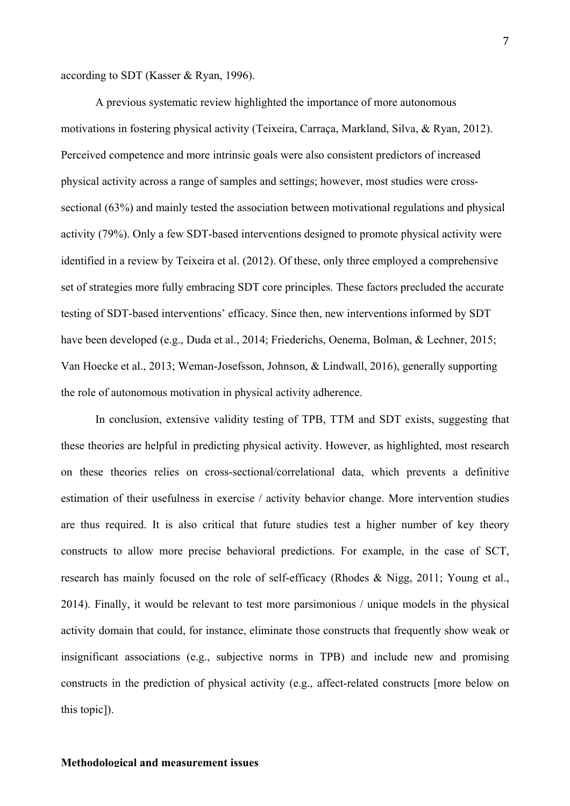according to SDT (Kasser & Ryan, 1996).

A previous systematic review highlighted the importance of more autonomous motivations in fostering physical activity (Teixeira, Carraça, Markland, Silva, & Ryan, 2012). Perceived competence and more intrinsic goals were also consistent predictors of increased physical activity across a range of samples and settings; however, most studies were crosssectional (63%) and mainly tested the association between motivational regulations and physical activity (79%). Only a few SDT-based interventions designed to promote physical activity were identified in a review by Teixeira et al. (2012). Of these, only three employed a comprehensive set of strategies more fully embracing SDT core principles. These factors precluded the accurate testing of SDT-based interventions' efficacy. Since then, new interventions informed by SDT have been developed (e.g., Duda et al., 2014; Friederichs, Oenema, Bolman, & Lechner, 2015; Van Hoecke et al., 2013; Weman-Josefsson, Johnson, & Lindwall, 2016), generally supporting the role of autonomous motivation in physical activity adherence.

In conclusion, extensive validity testing of TPB, TTM and SDT exists, suggesting that these theories are helpful in predicting physical activity. However, as highlighted, most research on these theories relies on cross-sectional/correlational data, which prevents a definitive estimation of their usefulness in exercise / activity behavior change. More intervention studies are thus required. It is also critical that future studies test a higher number of key theory constructs to allow more precise behavioral predictions. For example, in the case of SCT, research has mainly focused on the role of self-efficacy (Rhodes & Nigg, 2011; Young et al., 2014). Finally, it would be relevant to test more parsimonious / unique models in the physical activity domain that could, for instance, eliminate those constructs that frequently show weak or insignificant associations (e.g., subjective norms in TPB) and include new and promising constructs in the prediction of physical activity (e.g., affect-related constructs [more below on this topic]).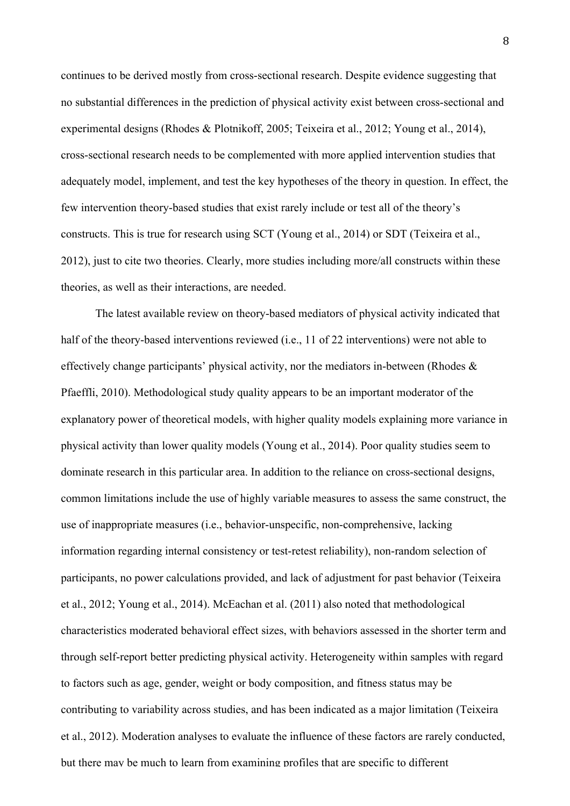continues to be derived mostly from cross-sectional research. Despite evidence suggesting that no substantial differences in the prediction of physical activity exist between cross-sectional and experimental designs (Rhodes & Plotnikoff, 2005; Teixeira et al., 2012; Young et al., 2014), cross-sectional research needs to be complemented with more applied intervention studies that adequately model, implement, and test the key hypotheses of the theory in question. In effect, the few intervention theory-based studies that exist rarely include or test all of the theory's constructs. This is true for research using SCT (Young et al., 2014) or SDT (Teixeira et al., 2012), just to cite two theories. Clearly, more studies including more/all constructs within these theories, as well as their interactions, are needed.

The latest available review on theory-based mediators of physical activity indicated that half of the theory-based interventions reviewed (i.e., 11 of 22 interventions) were not able to effectively change participants' physical activity, nor the mediators in-between (Rhodes & Pfaeffli, 2010). Methodological study quality appears to be an important moderator of the explanatory power of theoretical models, with higher quality models explaining more variance in physical activity than lower quality models (Young et al., 2014). Poor quality studies seem to dominate research in this particular area. In addition to the reliance on cross-sectional designs, common limitations include the use of highly variable measures to assess the same construct, the use of inappropriate measures (i.e., behavior-unspecific, non-comprehensive, lacking information regarding internal consistency or test-retest reliability), non-random selection of participants, no power calculations provided, and lack of adjustment for past behavior (Teixeira et al., 2012; Young et al., 2014). McEachan et al. (2011) also noted that methodological characteristics moderated behavioral effect sizes, with behaviors assessed in the shorter term and through self-report better predicting physical activity. Heterogeneity within samples with regard to factors such as age, gender, weight or body composition, and fitness status may be contributing to variability across studies, and has been indicated as a major limitation (Teixeira et al., 2012). Moderation analyses to evaluate the influence of these factors are rarely conducted, but there may be much to learn from examining profiles that are specific to different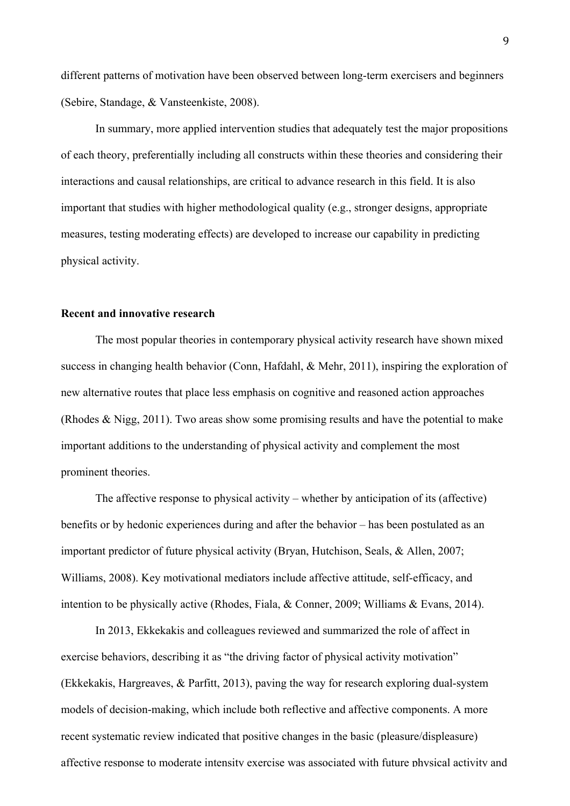different patterns of motivation have been observed between long-term exercisers and beginners (Sebire, Standage, & Vansteenkiste, 2008).

In summary, more applied intervention studies that adequately test the major propositions of each theory, preferentially including all constructs within these theories and considering their interactions and causal relationships, are critical to advance research in this field. It is also important that studies with higher methodological quality (e.g., stronger designs, appropriate measures, testing moderating effects) are developed to increase our capability in predicting physical activity.

### **Recent and innovative research**

The most popular theories in contemporary physical activity research have shown mixed success in changing health behavior (Conn, Hafdahl, & Mehr, 2011), inspiring the exploration of new alternative routes that place less emphasis on cognitive and reasoned action approaches (Rhodes & Nigg, 2011). Two areas show some promising results and have the potential to make important additions to the understanding of physical activity and complement the most prominent theories.

The affective response to physical activity – whether by anticipation of its (affective) benefits or by hedonic experiences during and after the behavior – has been postulated as an important predictor of future physical activity (Bryan, Hutchison, Seals, & Allen, 2007; Williams, 2008). Key motivational mediators include affective attitude, self-efficacy, and intention to be physically active (Rhodes, Fiala, & Conner, 2009; Williams & Evans, 2014).

In 2013, Ekkekakis and colleagues reviewed and summarized the role of affect in exercise behaviors, describing it as "the driving factor of physical activity motivation" (Ekkekakis, Hargreaves, & Parfitt, 2013), paving the way for research exploring dual-system models of decision-making, which include both reflective and affective components. A more recent systematic review indicated that positive changes in the basic (pleasure/displeasure) affective response to moderate intensity exercise was associated with future physical activity and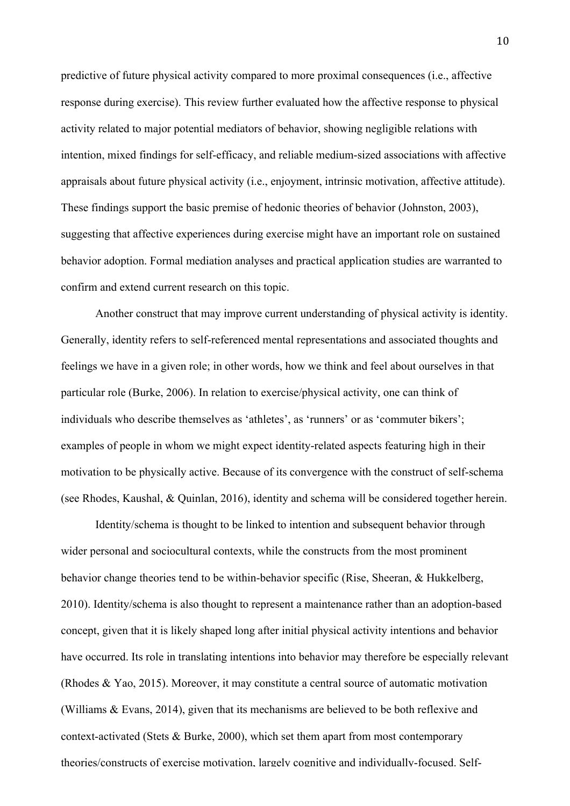predictive of future physical activity compared to more proximal consequences (i.e., affective response during exercise). This review further evaluated how the affective response to physical activity related to major potential mediators of behavior, showing negligible relations with intention, mixed findings for self-efficacy, and reliable medium-sized associations with affective appraisals about future physical activity (i.e., enjoyment, intrinsic motivation, affective attitude). These findings support the basic premise of hedonic theories of behavior (Johnston, 2003), suggesting that affective experiences during exercise might have an important role on sustained behavior adoption. Formal mediation analyses and practical application studies are warranted to confirm and extend current research on this topic.

Another construct that may improve current understanding of physical activity is identity. Generally, identity refers to self-referenced mental representations and associated thoughts and feelings we have in a given role; in other words, how we think and feel about ourselves in that particular role (Burke, 2006). In relation to exercise/physical activity, one can think of individuals who describe themselves as 'athletes', as 'runners' or as 'commuter bikers'; examples of people in whom we might expect identity-related aspects featuring high in their motivation to be physically active. Because of its convergence with the construct of self-schema (see Rhodes, Kaushal, & Quinlan, 2016), identity and schema will be considered together herein.

Identity/schema is thought to be linked to intention and subsequent behavior through wider personal and sociocultural contexts, while the constructs from the most prominent behavior change theories tend to be within-behavior specific (Rise, Sheeran, & Hukkelberg, 2010). Identity/schema is also thought to represent a maintenance rather than an adoption-based concept, given that it is likely shaped long after initial physical activity intentions and behavior have occurred. Its role in translating intentions into behavior may therefore be especially relevant (Rhodes & Yao, 2015). Moreover, it may constitute a central source of automatic motivation (Williams & Evans, 2014), given that its mechanisms are believed to be both reflexive and context-activated (Stets & Burke, 2000), which set them apart from most contemporary theories/constructs of exercise motivation, largely cognitive and individually-focused. Self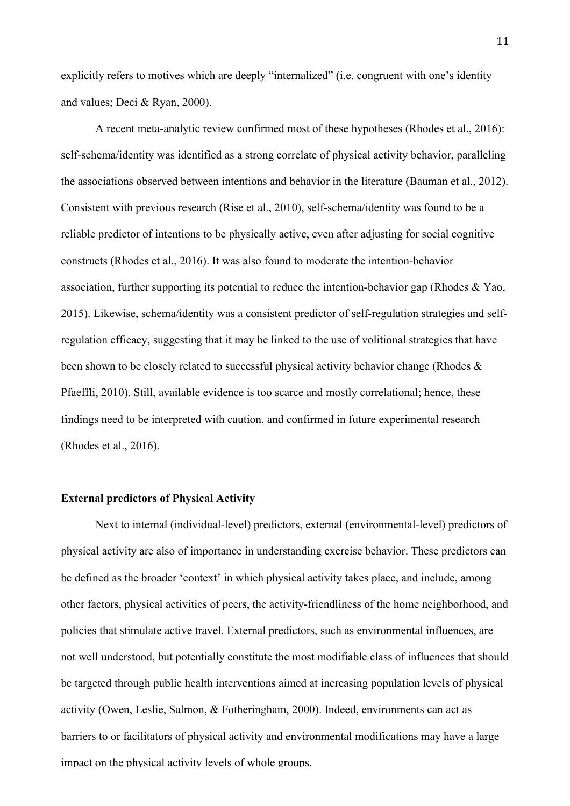explicitly refers to motives which are deeply "internalized" (i.e. congruent with one's identity and values; Deci & Ryan, 2000).

A recent meta-analytic review confirmed most of these hypotheses (Rhodes et al., 2016): self-schema/identity was identified as a strong correlate of physical activity behavior, paralleling the associations observed between intentions and behavior in the literature (Bauman et al., 2012). Consistent with previous research (Rise et al., 2010), self-schema/identity was found to be a reliable predictor of intentions to be physically active, even after adjusting for social cognitive constructs (Rhodes et al., 2016). It was also found to moderate the intention-behavior association, further supporting its potential to reduce the intention-behavior gap (Rhodes & Yao, 2015). Likewise, schema/identity was a consistent predictor of self-regulation strategies and selfregulation efficacy, suggesting that it may be linked to the use of volitional strategies that have been shown to be closely related to successful physical activity behavior change (Rhodes & Pfaeffli, 2010). Still, available evidence is too scarce and mostly correlational; hence, these findings need to be interpreted with caution, and confirmed in future experimental research (Rhodes et al., 2016).

## **External predictors of Physical Activity**

Next to internal (individual-level) predictors, external (environmental-level) predictors of physical activity are also of importance in understanding exercise behavior. These predictors can be defined as the broader 'context' in which physical activity takes place, and include, among other factors, physical activities of peers, the activity-friendliness of the home neighborhood, and policies that stimulate active travel. External predictors, such as environmental influences, are not well understood, but potentially constitute the most modifiable class of influences that should be targeted through public health interventions aimed at increasing population levels of physical activity (Owen, Leslie, Salmon, & Fotheringham, 2000). Indeed, environments can act as barriers to or facilitators of physical activity and environmental modifications may have a large impact on the physical activity levels of whole groups.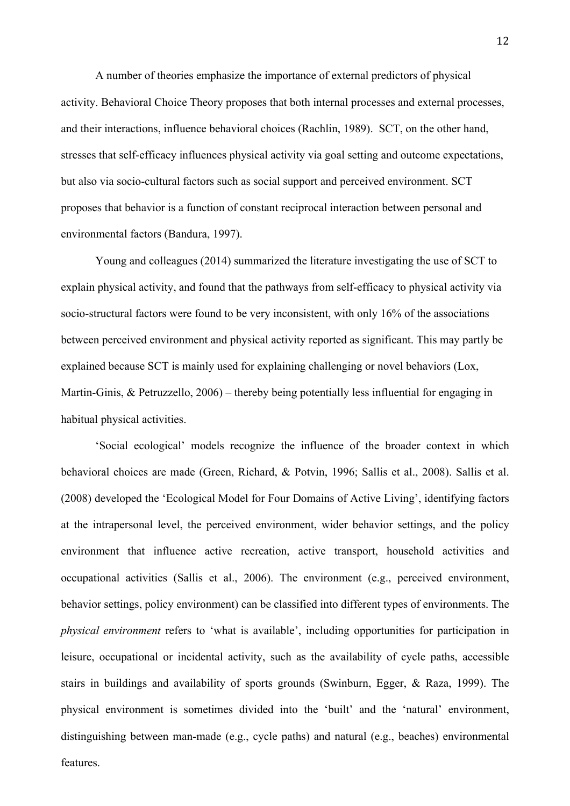A number of theories emphasize the importance of external predictors of physical activity. Behavioral Choice Theory proposes that both internal processes and external processes, and their interactions, influence behavioral choices (Rachlin, 1989). SCT, on the other hand, stresses that self-efficacy influences physical activity via goal setting and outcome expectations, but also via socio-cultural factors such as social support and perceived environment. SCT proposes that behavior is a function of constant reciprocal interaction between personal and environmental factors (Bandura, 1997).

Young and colleagues (2014) summarized the literature investigating the use of SCT to explain physical activity, and found that the pathways from self-efficacy to physical activity via socio-structural factors were found to be very inconsistent, with only 16% of the associations between perceived environment and physical activity reported as significant. This may partly be explained because SCT is mainly used for explaining challenging or novel behaviors (Lox, Martin-Ginis, & Petruzzello, 2006) – thereby being potentially less influential for engaging in habitual physical activities.

'Social ecological' models recognize the influence of the broader context in which behavioral choices are made (Green, Richard, & Potvin, 1996; Sallis et al., 2008). Sallis et al. (2008) developed the 'Ecological Model for Four Domains of Active Living', identifying factors at the intrapersonal level, the perceived environment, wider behavior settings, and the policy environment that influence active recreation, active transport, household activities and occupational activities (Sallis et al., 2006). The environment (e.g., perceived environment, behavior settings, policy environment) can be classified into different types of environments. The *physical environment* refers to 'what is available', including opportunities for participation in leisure, occupational or incidental activity, such as the availability of cycle paths, accessible stairs in buildings and availability of sports grounds (Swinburn, Egger, & Raza, 1999). The physical environment is sometimes divided into the 'built' and the 'natural' environment, distinguishing between man-made (e.g., cycle paths) and natural (e.g., beaches) environmental features.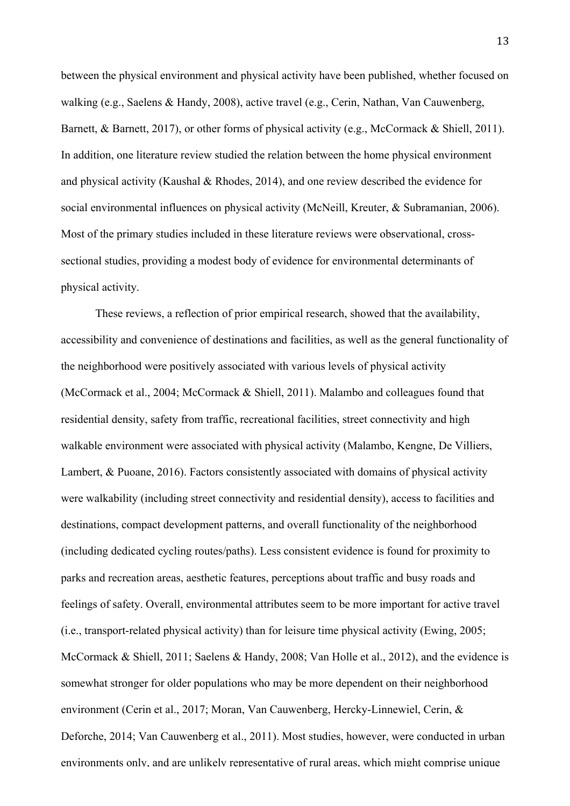between the physical environment and physical activity have been published, whether focused on walking (e.g., Saelens & Handy, 2008), active travel (e.g., Cerin, Nathan, Van Cauwenberg, Barnett, & Barnett, 2017), or other forms of physical activity (e.g., McCormack & Shiell, 2011). In addition, one literature review studied the relation between the home physical environment and physical activity (Kaushal & Rhodes, 2014), and one review described the evidence for social environmental influences on physical activity (McNeill, Kreuter, & Subramanian, 2006). Most of the primary studies included in these literature reviews were observational, crosssectional studies, providing a modest body of evidence for environmental determinants of physical activity.

These reviews, a reflection of prior empirical research, showed that the availability, accessibility and convenience of destinations and facilities, as well as the general functionality of the neighborhood were positively associated with various levels of physical activity (McCormack et al., 2004; McCormack & Shiell, 2011). Malambo and colleagues found that residential density, safety from traffic, recreational facilities, street connectivity and high walkable environment were associated with physical activity (Malambo, Kengne, De Villiers, Lambert, & Puoane, 2016). Factors consistently associated with domains of physical activity were walkability (including street connectivity and residential density), access to facilities and destinations, compact development patterns, and overall functionality of the neighborhood (including dedicated cycling routes/paths). Less consistent evidence is found for proximity to parks and recreation areas, aesthetic features, perceptions about traffic and busy roads and feelings of safety. Overall, environmental attributes seem to be more important for active travel (i.e., transport-related physical activity) than for leisure time physical activity (Ewing, 2005; McCormack & Shiell, 2011; Saelens & Handy, 2008; Van Holle et al., 2012), and the evidence is somewhat stronger for older populations who may be more dependent on their neighborhood environment (Cerin et al., 2017; Moran, Van Cauwenberg, Hercky-Linnewiel, Cerin, & Deforche, 2014; Van Cauwenberg et al., 2011). Most studies, however, were conducted in urban environments only, and are unlikely representative of rural areas, which might comprise unique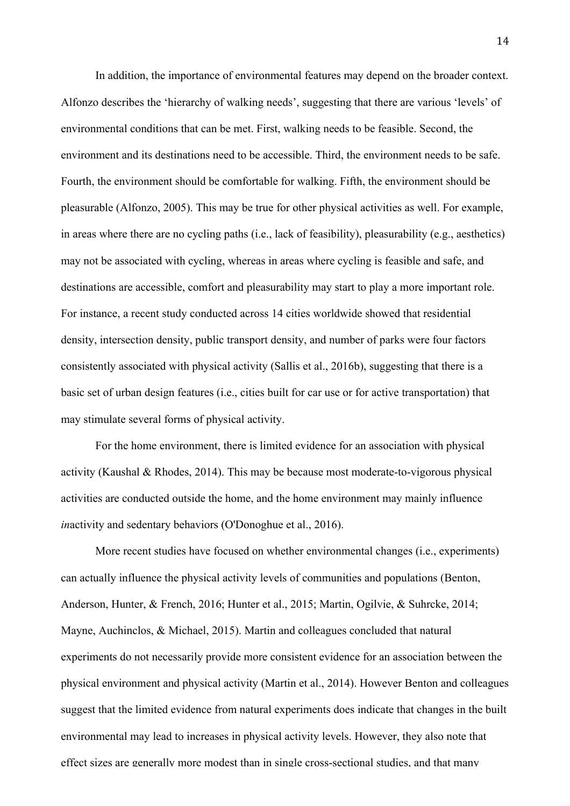In addition, the importance of environmental features may depend on the broader context. Alfonzo describes the 'hierarchy of walking needs', suggesting that there are various 'levels' of environmental conditions that can be met. First, walking needs to be feasible. Second, the environment and its destinations need to be accessible. Third, the environment needs to be safe. Fourth, the environment should be comfortable for walking. Fifth, the environment should be pleasurable (Alfonzo, 2005). This may be true for other physical activities as well. For example, in areas where there are no cycling paths (i.e., lack of feasibility), pleasurability (e.g., aesthetics) may not be associated with cycling, whereas in areas where cycling is feasible and safe, and destinations are accessible, comfort and pleasurability may start to play a more important role. For instance, a recent study conducted across 14 cities worldwide showed that residential density, intersection density, public transport density, and number of parks were four factors consistently associated with physical activity (Sallis et al., 2016b), suggesting that there is a basic set of urban design features (i.e., cities built for car use or for active transportation) that may stimulate several forms of physical activity.

For the home environment, there is limited evidence for an association with physical activity (Kaushal & Rhodes, 2014). This may be because most moderate-to-vigorous physical activities are conducted outside the home, and the home environment may mainly influence *in*activity and sedentary behaviors (O'Donoghue et al., 2016).

More recent studies have focused on whether environmental changes (i.e., experiments) can actually influence the physical activity levels of communities and populations (Benton, Anderson, Hunter, & French, 2016; Hunter et al., 2015; Martin, Ogilvie, & Suhrcke, 2014; Mayne, Auchinclos,  $\&$  Michael, 2015). Martin and colleagues concluded that natural experiments do not necessarily provide more consistent evidence for an association between the physical environment and physical activity (Martin et al., 2014). However Benton and colleagues suggest that the limited evidence from natural experiments does indicate that changes in the built environmental may lead to increases in physical activity levels. However, they also note that effect sizes are generally more modest than in single cross-sectional studies, and that many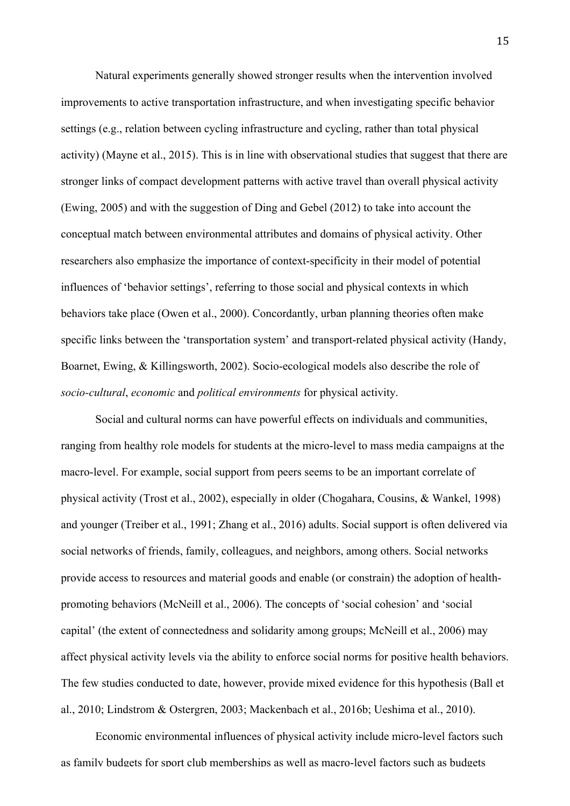Natural experiments generally showed stronger results when the intervention involved improvements to active transportation infrastructure, and when investigating specific behavior settings (e.g., relation between cycling infrastructure and cycling, rather than total physical activity) (Mayne et al., 2015). This is in line with observational studies that suggest that there are stronger links of compact development patterns with active travel than overall physical activity (Ewing, 2005) and with the suggestion of Ding and Gebel (2012) to take into account the conceptual match between environmental attributes and domains of physical activity. Other researchers also emphasize the importance of context-specificity in their model of potential influences of 'behavior settings', referring to those social and physical contexts in which behaviors take place (Owen et al., 2000). Concordantly, urban planning theories often make specific links between the 'transportation system' and transport-related physical activity (Handy, Boarnet, Ewing, & Killingsworth, 2002). Socio-ecological models also describe the role of *socio-cultural*, *economic* and *political environments* for physical activity.

Social and cultural norms can have powerful effects on individuals and communities, ranging from healthy role models for students at the micro-level to mass media campaigns at the macro-level. For example, social support from peers seems to be an important correlate of physical activity (Trost et al., 2002), especially in older (Chogahara, Cousins, & Wankel, 1998) and younger (Treiber et al., 1991; Zhang et al., 2016) adults. Social support is often delivered via social networks of friends, family, colleagues, and neighbors, among others. Social networks provide access to resources and material goods and enable (or constrain) the adoption of healthpromoting behaviors (McNeill et al., 2006). The concepts of 'social cohesion' and 'social capital' (the extent of connectedness and solidarity among groups; McNeill et al., 2006) may affect physical activity levels via the ability to enforce social norms for positive health behaviors. The few studies conducted to date, however, provide mixed evidence for this hypothesis (Ball et al., 2010; Lindstrom & Ostergren, 2003; Mackenbach et al., 2016b; Ueshima et al., 2010).

Economic environmental influences of physical activity include micro-level factors such as family budgets for sport club memberships as well as macro-level factors such as budgets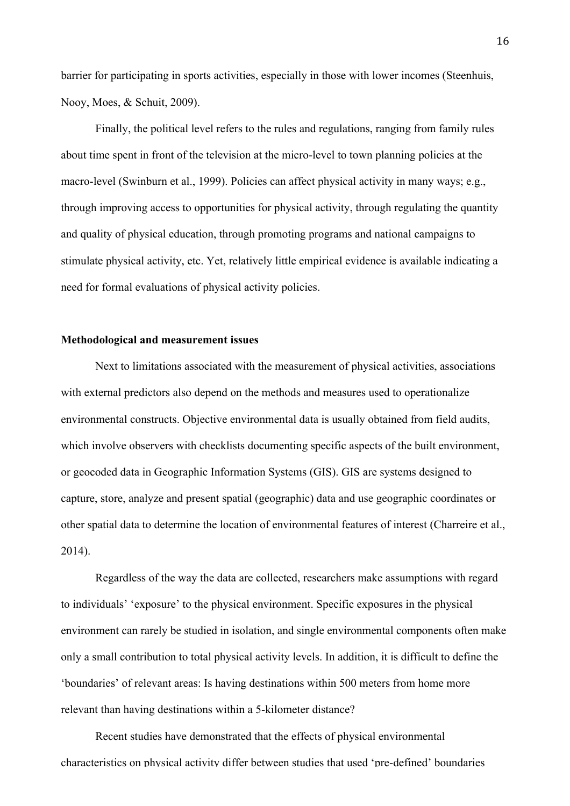barrier for participating in sports activities, especially in those with lower incomes (Steenhuis, Nooy, Moes, & Schuit, 2009).

Finally, the political level refers to the rules and regulations, ranging from family rules about time spent in front of the television at the micro-level to town planning policies at the macro-level (Swinburn et al., 1999). Policies can affect physical activity in many ways; e.g., through improving access to opportunities for physical activity, through regulating the quantity and quality of physical education, through promoting programs and national campaigns to stimulate physical activity, etc. Yet, relatively little empirical evidence is available indicating a need for formal evaluations of physical activity policies.

## **Methodological and measurement issues**

Next to limitations associated with the measurement of physical activities, associations with external predictors also depend on the methods and measures used to operationalize environmental constructs. Objective environmental data is usually obtained from field audits, which involve observers with checklists documenting specific aspects of the built environment, or geocoded data in Geographic Information Systems (GIS). GIS are systems designed to capture, store, analyze and present spatial (geographic) data and use geographic coordinates or other spatial data to determine the location of environmental features of interest (Charreire et al., 2014).

Regardless of the way the data are collected, researchers make assumptions with regard to individuals' 'exposure' to the physical environment. Specific exposures in the physical environment can rarely be studied in isolation, and single environmental components often make only a small contribution to total physical activity levels. In addition, it is difficult to define the 'boundaries' of relevant areas: Is having destinations within 500 meters from home more relevant than having destinations within a 5-kilometer distance?

Recent studies have demonstrated that the effects of physical environmental characteristics on physical activity differ between studies that used 'pre-defined' boundaries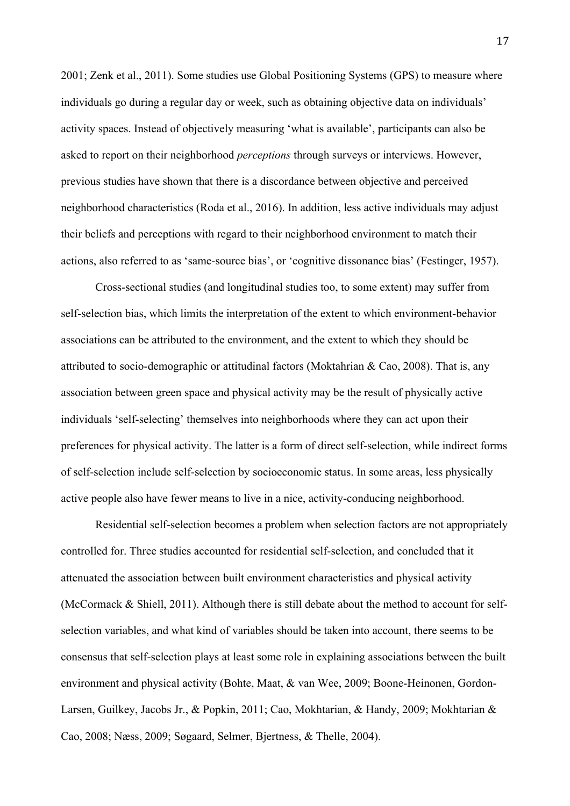2001; Zenk et al., 2011). Some studies use Global Positioning Systems (GPS) to measure where individuals go during a regular day or week, such as obtaining objective data on individuals' activity spaces. Instead of objectively measuring 'what is available', participants can also be asked to report on their neighborhood *perceptions* through surveys or interviews. However, previous studies have shown that there is a discordance between objective and perceived neighborhood characteristics (Roda et al., 2016). In addition, less active individuals may adjust their beliefs and perceptions with regard to their neighborhood environment to match their actions, also referred to as 'same-source bias', or 'cognitive dissonance bias' (Festinger, 1957).

Cross-sectional studies (and longitudinal studies too, to some extent) may suffer from self-selection bias, which limits the interpretation of the extent to which environment-behavior associations can be attributed to the environment, and the extent to which they should be attributed to socio-demographic or attitudinal factors (Moktahrian & Cao, 2008). That is, any association between green space and physical activity may be the result of physically active individuals 'self-selecting' themselves into neighborhoods where they can act upon their preferences for physical activity. The latter is a form of direct self-selection, while indirect forms of self-selection include self-selection by socioeconomic status. In some areas, less physically active people also have fewer means to live in a nice, activity-conducing neighborhood.

Residential self-selection becomes a problem when selection factors are not appropriately controlled for. Three studies accounted for residential self-selection, and concluded that it attenuated the association between built environment characteristics and physical activity (McCormack & Shiell, 2011). Although there is still debate about the method to account for selfselection variables, and what kind of variables should be taken into account, there seems to be consensus that self-selection plays at least some role in explaining associations between the built environment and physical activity (Bohte, Maat, & van Wee, 2009; Boone-Heinonen, Gordon-Larsen, Guilkey, Jacobs Jr., & Popkin, 2011; Cao, Mokhtarian, & Handy, 2009; Mokhtarian & Cao, 2008; Næss, 2009; Søgaard, Selmer, Bjertness, & Thelle, 2004).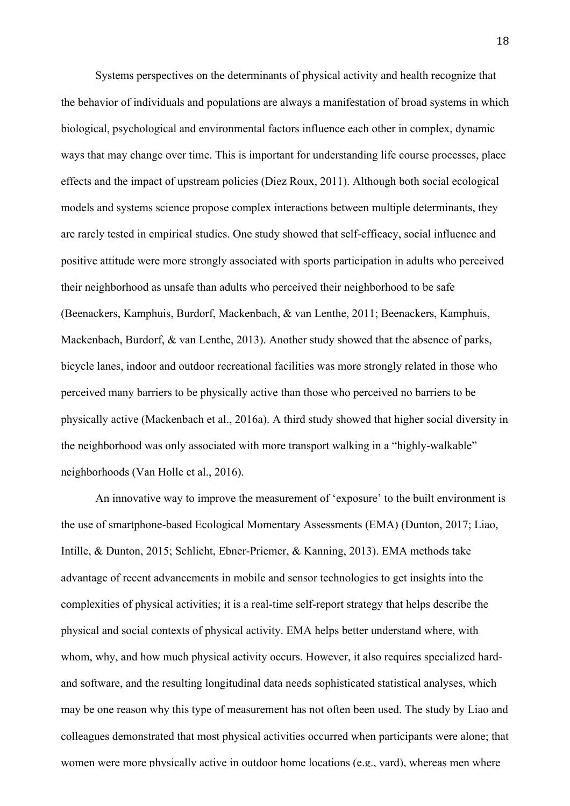Systems perspectives on the determinants of physical activity and health recognize that the behavior of individuals and populations are always a manifestation of broad systems in which biological, psychological and environmental factors influence each other in complex, dynamic ways that may change over time. This is important for understanding life course processes, place effects and the impact of upstream policies (Diez Roux, 2011). Although both social ecological models and systems science propose complex interactions between multiple determinants, they are rarely tested in empirical studies. One study showed that self-efficacy, social influence and positive attitude were more strongly associated with sports participation in adults who perceived their neighborhood as unsafe than adults who perceived their neighborhood to be safe (Beenackers, Kamphuis, Burdorf, Mackenbach, & van Lenthe, 2011; Beenackers, Kamphuis, Mackenbach, Burdorf, & van Lenthe, 2013). Another study showed that the absence of parks, bicycle lanes, indoor and outdoor recreational facilities was more strongly related in those who perceived many barriers to be physically active than those who perceived no barriers to be physically active (Mackenbach et al., 2016a). A third study showed that higher social diversity in the neighborhood was only associated with more transport walking in a "highly-walkable" neighborhoods (Van Holle et al., 2016).

An innovative way to improve the measurement of 'exposure' to the built environment is the use of smartphone-based Ecological Momentary Assessments (EMA) (Dunton, 2017; Liao, Intille, & Dunton, 2015; Schlicht, Ebner-Priemer, & Kanning, 2013). EMA methods take advantage of recent advancements in mobile and sensor technologies to get insights into the complexities of physical activities; it is a real-time self-report strategy that helps describe the physical and social contexts of physical activity. EMA helps better understand where, with whom, why, and how much physical activity occurs. However, it also requires specialized hardand software, and the resulting longitudinal data needs sophisticated statistical analyses, which may be one reason why this type of measurement has not often been used. The study by Liao and colleagues demonstrated that most physical activities occurred when participants were alone; that women were more physically active in outdoor home locations (e.g., yard), whereas men where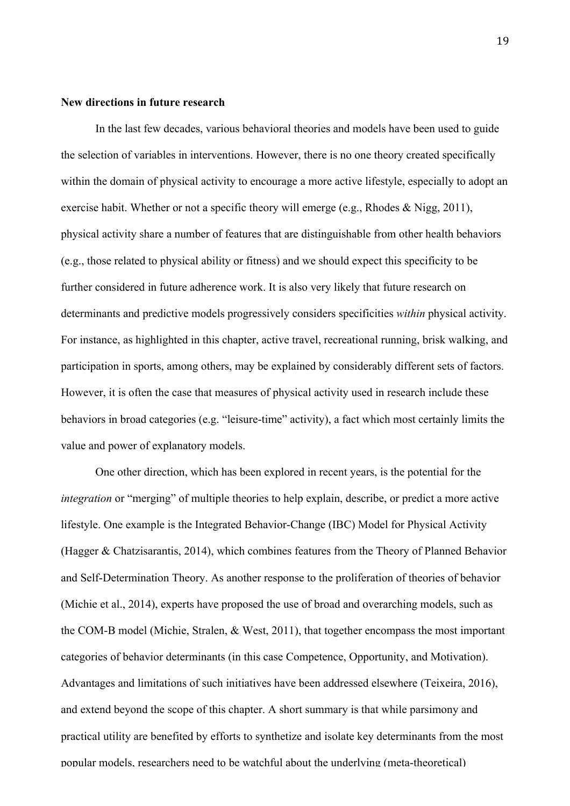#### **New directions in future research**

In the last few decades, various behavioral theories and models have been used to guide the selection of variables in interventions. However, there is no one theory created specifically within the domain of physical activity to encourage a more active lifestyle, especially to adopt an exercise habit. Whether or not a specific theory will emerge (e.g., Rhodes & Nigg, 2011), physical activity share a number of features that are distinguishable from other health behaviors (e.g., those related to physical ability or fitness) and we should expect this specificity to be further considered in future adherence work. It is also very likely that future research on determinants and predictive models progressively considers specificities *within* physical activity. For instance, as highlighted in this chapter, active travel, recreational running, brisk walking, and participation in sports, among others, may be explained by considerably different sets of factors. However, it is often the case that measures of physical activity used in research include these behaviors in broad categories (e.g. "leisure-time" activity), a fact which most certainly limits the value and power of explanatory models.

One other direction, which has been explored in recent years, is the potential for the *integration* or "merging" of multiple theories to help explain, describe, or predict a more active lifestyle. One example is the Integrated Behavior-Change (IBC) Model for Physical Activity (Hagger & Chatzisarantis, 2014), which combines features from the Theory of Planned Behavior and Self-Determination Theory. As another response to the proliferation of theories of behavior (Michie et al., 2014), experts have proposed the use of broad and overarching models, such as the COM-B model (Michie, Stralen, & West, 2011), that together encompass the most important categories of behavior determinants (in this case Competence, Opportunity, and Motivation). Advantages and limitations of such initiatives have been addressed elsewhere (Teixeira, 2016), and extend beyond the scope of this chapter. A short summary is that while parsimony and practical utility are benefited by efforts to synthetize and isolate key determinants from the most popular models, researchers need to be watchful about the underlying (meta-theoretical)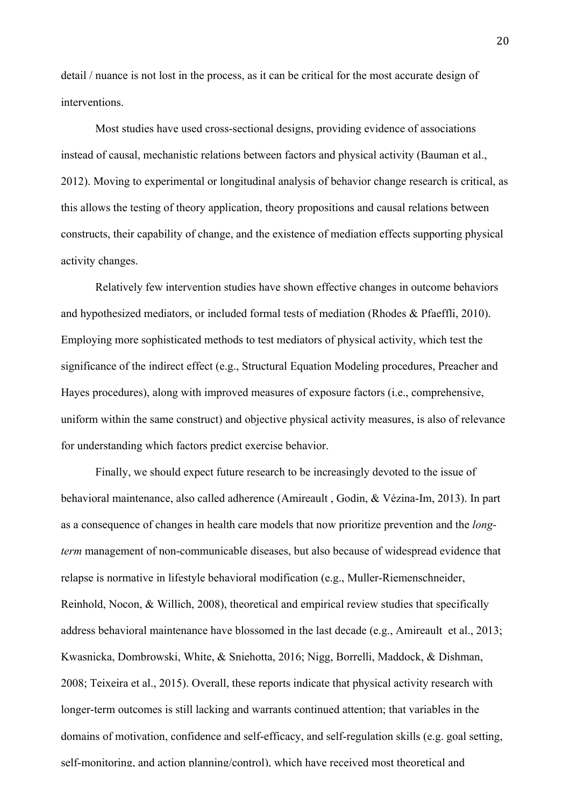detail / nuance is not lost in the process, as it can be critical for the most accurate design of interventions.

Most studies have used cross-sectional designs, providing evidence of associations instead of causal, mechanistic relations between factors and physical activity (Bauman et al., 2012). Moving to experimental or longitudinal analysis of behavior change research is critical, as this allows the testing of theory application, theory propositions and causal relations between constructs, their capability of change, and the existence of mediation effects supporting physical activity changes.

Relatively few intervention studies have shown effective changes in outcome behaviors and hypothesized mediators, or included formal tests of mediation (Rhodes & Pfaeffli, 2010). Employing more sophisticated methods to test mediators of physical activity, which test the significance of the indirect effect (e.g., Structural Equation Modeling procedures, Preacher and Hayes procedures), along with improved measures of exposure factors (i.e., comprehensive, uniform within the same construct) and objective physical activity measures, is also of relevance for understanding which factors predict exercise behavior.

Finally, we should expect future research to be increasingly devoted to the issue of behavioral maintenance, also called adherence (Amireault , Godin, & Vézina-Im, 2013). In part as a consequence of changes in health care models that now prioritize prevention and the *longterm* management of non-communicable diseases, but also because of widespread evidence that relapse is normative in lifestyle behavioral modification (e.g., Muller-Riemenschneider, Reinhold, Nocon, & Willich, 2008), theoretical and empirical review studies that specifically address behavioral maintenance have blossomed in the last decade (e.g., Amireault et al., 2013; Kwasnicka, Dombrowski, White, & Sniehotta, 2016; Nigg, Borrelli, Maddock, & Dishman, 2008; Teixeira et al., 2015). Overall, these reports indicate that physical activity research with longer-term outcomes is still lacking and warrants continued attention; that variables in the domains of motivation, confidence and self-efficacy, and self-regulation skills (e.g. goal setting, self-monitoring, and action planning/control), which have received most theoretical and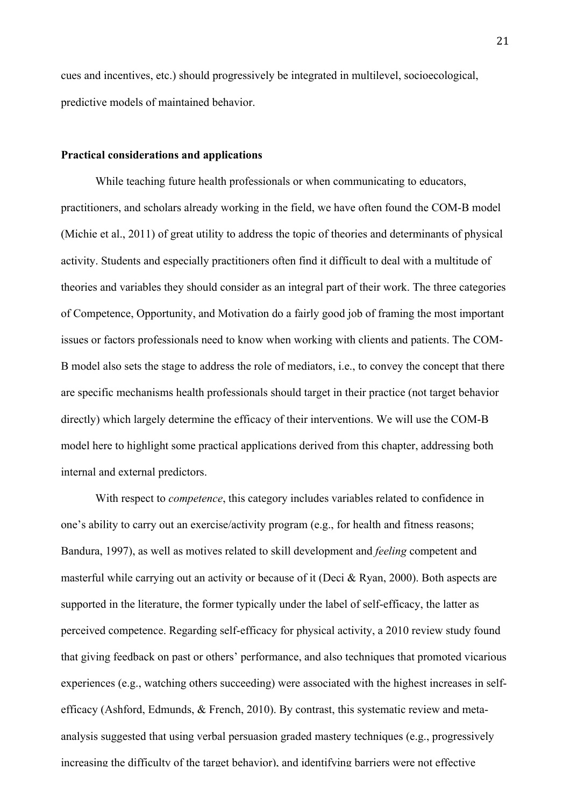cues and incentives, etc.) should progressively be integrated in multilevel, socioecological, predictive models of maintained behavior.

#### **Practical considerations and applications**

While teaching future health professionals or when communicating to educators, practitioners, and scholars already working in the field, we have often found the COM-B model (Michie et al., 2011) of great utility to address the topic of theories and determinants of physical activity. Students and especially practitioners often find it difficult to deal with a multitude of theories and variables they should consider as an integral part of their work. The three categories of Competence, Opportunity, and Motivation do a fairly good job of framing the most important issues or factors professionals need to know when working with clients and patients. The COM-B model also sets the stage to address the role of mediators, i.e., to convey the concept that there are specific mechanisms health professionals should target in their practice (not target behavior directly) which largely determine the efficacy of their interventions. We will use the COM-B model here to highlight some practical applications derived from this chapter, addressing both internal and external predictors.

With respect to *competence*, this category includes variables related to confidence in one's ability to carry out an exercise/activity program (e.g., for health and fitness reasons; Bandura, 1997), as well as motives related to skill development and *feeling* competent and masterful while carrying out an activity or because of it (Deci & Ryan, 2000). Both aspects are supported in the literature, the former typically under the label of self-efficacy, the latter as perceived competence. Regarding self-efficacy for physical activity, a 2010 review study found that giving feedback on past or others' performance, and also techniques that promoted vicarious experiences (e.g., watching others succeeding) were associated with the highest increases in selfefficacy (Ashford, Edmunds, & French, 2010). By contrast, this systematic review and metaanalysis suggested that using verbal persuasion graded mastery techniques (e.g., progressively increasing the difficulty of the target behavior), and identifying barriers were not effective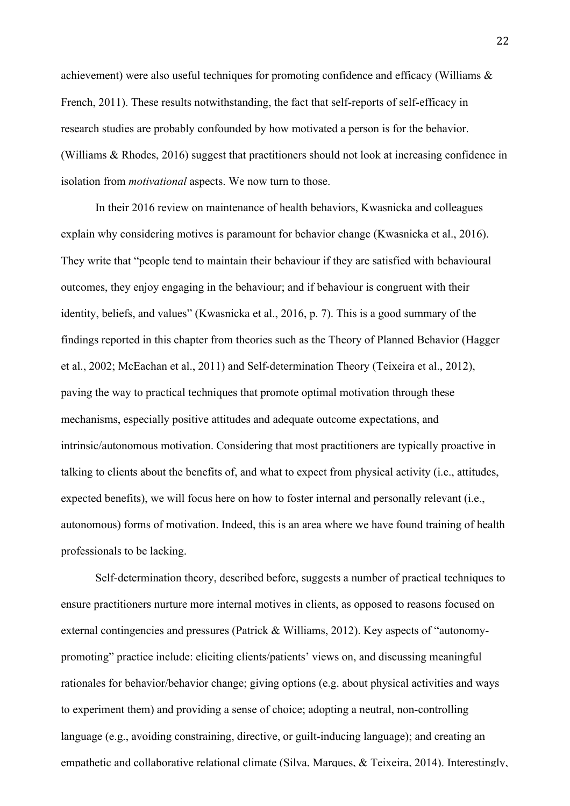achievement) were also useful techniques for promoting confidence and efficacy (Williams & French, 2011). These results notwithstanding, the fact that self-reports of self-efficacy in research studies are probably confounded by how motivated a person is for the behavior. (Williams & Rhodes, 2016) suggest that practitioners should not look at increasing confidence in isolation from *motivational* aspects. We now turn to those.

In their 2016 review on maintenance of health behaviors, Kwasnicka and colleagues explain why considering motives is paramount for behavior change (Kwasnicka et al., 2016). They write that "people tend to maintain their behaviour if they are satisfied with behavioural outcomes, they enjoy engaging in the behaviour; and if behaviour is congruent with their identity, beliefs, and values" (Kwasnicka et al., 2016, p. 7). This is a good summary of the findings reported in this chapter from theories such as the Theory of Planned Behavior (Hagger et al., 2002; McEachan et al., 2011) and Self-determination Theory (Teixeira et al., 2012), paving the way to practical techniques that promote optimal motivation through these mechanisms, especially positive attitudes and adequate outcome expectations, and intrinsic/autonomous motivation. Considering that most practitioners are typically proactive in talking to clients about the benefits of, and what to expect from physical activity (i.e., attitudes, expected benefits), we will focus here on how to foster internal and personally relevant (i.e., autonomous) forms of motivation. Indeed, this is an area where we have found training of health professionals to be lacking.

Self-determination theory, described before, suggests a number of practical techniques to ensure practitioners nurture more internal motives in clients, as opposed to reasons focused on external contingencies and pressures (Patrick & Williams, 2012). Key aspects of "autonomypromoting" practice include: eliciting clients/patients' views on, and discussing meaningful rationales for behavior/behavior change; giving options (e.g. about physical activities and ways to experiment them) and providing a sense of choice; adopting a neutral, non-controlling language (e.g., avoiding constraining, directive, or guilt-inducing language); and creating an empathetic and collaborative relational climate (Silva, Marques, & Teixeira, 2014). Interestingly,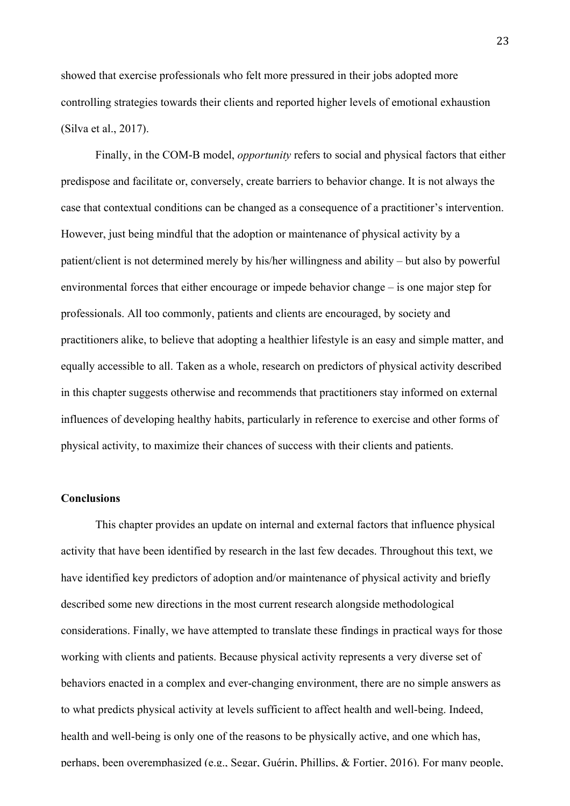showed that exercise professionals who felt more pressured in their jobs adopted more controlling strategies towards their clients and reported higher levels of emotional exhaustion (Silva et al., 2017).

Finally, in the COM-B model, *opportunity* refers to social and physical factors that either predispose and facilitate or, conversely, create barriers to behavior change. It is not always the case that contextual conditions can be changed as a consequence of a practitioner's intervention. However, just being mindful that the adoption or maintenance of physical activity by a patient/client is not determined merely by his/her willingness and ability – but also by powerful environmental forces that either encourage or impede behavior change – is one major step for professionals. All too commonly, patients and clients are encouraged, by society and practitioners alike, to believe that adopting a healthier lifestyle is an easy and simple matter, and equally accessible to all. Taken as a whole, research on predictors of physical activity described in this chapter suggests otherwise and recommends that practitioners stay informed on external influences of developing healthy habits, particularly in reference to exercise and other forms of physical activity, to maximize their chances of success with their clients and patients.

# **Conclusions**

This chapter provides an update on internal and external factors that influence physical activity that have been identified by research in the last few decades. Throughout this text, we have identified key predictors of adoption and/or maintenance of physical activity and briefly described some new directions in the most current research alongside methodological considerations. Finally, we have attempted to translate these findings in practical ways for those working with clients and patients. Because physical activity represents a very diverse set of behaviors enacted in a complex and ever-changing environment, there are no simple answers as to what predicts physical activity at levels sufficient to affect health and well-being. Indeed, health and well-being is only one of the reasons to be physically active, and one which has, perhaps, been overemphasized (e.g., Segar, Guérin, Phillips, & Fortier, 2016). For many people,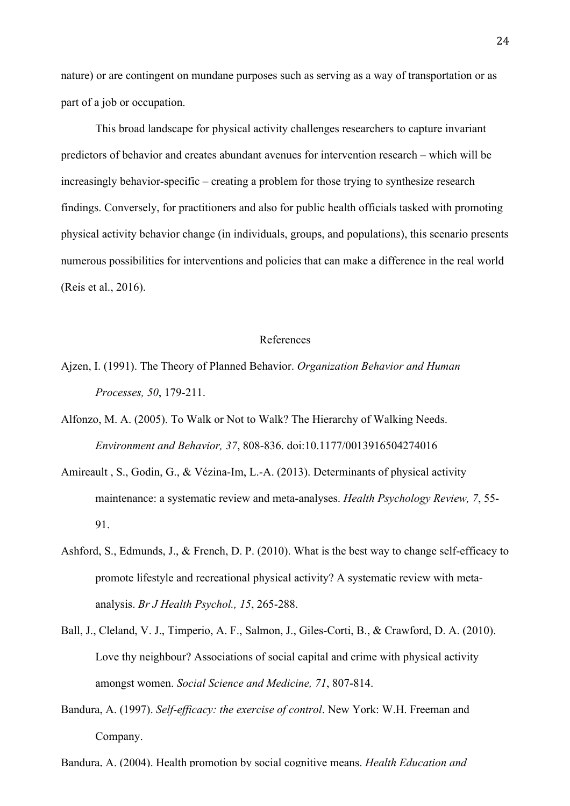nature) or are contingent on mundane purposes such as serving as a way of transportation or as part of a job or occupation.

This broad landscape for physical activity challenges researchers to capture invariant predictors of behavior and creates abundant avenues for intervention research – which will be increasingly behavior-specific – creating a problem for those trying to synthesize research findings. Conversely, for practitioners and also for public health officials tasked with promoting physical activity behavior change (in individuals, groups, and populations), this scenario presents numerous possibilities for interventions and policies that can make a difference in the real world (Reis et al., 2016).

### References

- Ajzen, I. (1991). The Theory of Planned Behavior. *Organization Behavior and Human Processes, 50*, 179-211.
- Alfonzo, M. A. (2005). To Walk or Not to Walk? The Hierarchy of Walking Needs. *Environment and Behavior, 37*, 808-836. doi:10.1177/0013916504274016
- Amireault , S., Godin, G., & Vézina-Im, L.-A. (2013). Determinants of physical activity maintenance: a systematic review and meta-analyses. *Health Psychology Review, 7*, 55- 91.
- Ashford, S., Edmunds, J., & French, D. P. (2010). What is the best way to change self-efficacy to promote lifestyle and recreational physical activity? A systematic review with metaanalysis. *Br J Health Psychol., 15*, 265-288.
- Ball, J., Cleland, V. J., Timperio, A. F., Salmon, J., Giles-Corti, B., & Crawford, D. A. (2010). Love thy neighbour? Associations of social capital and crime with physical activity amongst women. *Social Science and Medicine, 71*, 807-814.
- Bandura, A. (1997). *Self-efficacy: the exercise of control*. New York: W.H. Freeman and Company.

Bandura, A. (2004). Health promotion by social cognitive means. *Health Education and*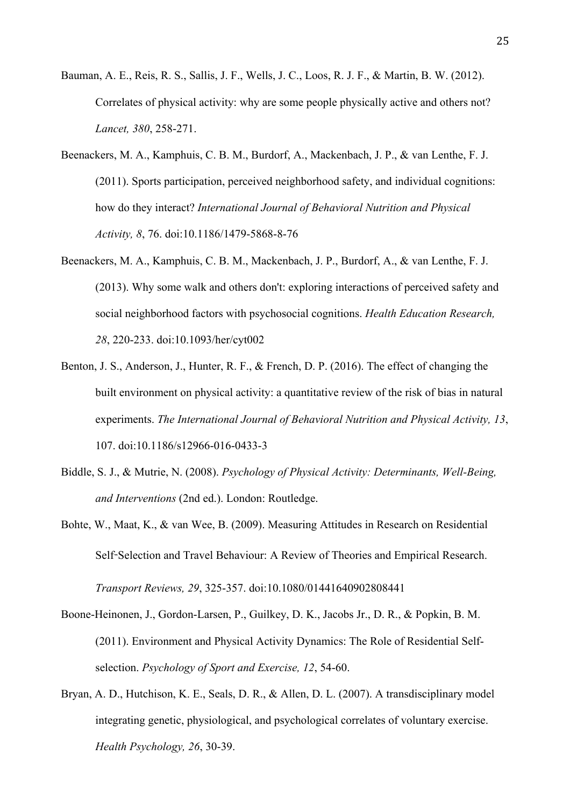- Bauman, A. E., Reis, R. S., Sallis, J. F., Wells, J. C., Loos, R. J. F., & Martin, B. W. (2012). Correlates of physical activity: why are some people physically active and others not? *Lancet, 380*, 258-271.
- Beenackers, M. A., Kamphuis, C. B. M., Burdorf, A., Mackenbach, J. P., & van Lenthe, F. J. (2011). Sports participation, perceived neighborhood safety, and individual cognitions: how do they interact? *International Journal of Behavioral Nutrition and Physical Activity, 8*, 76. doi:10.1186/1479-5868-8-76
- Beenackers, M. A., Kamphuis, C. B. M., Mackenbach, J. P., Burdorf, A., & van Lenthe, F. J. (2013). Why some walk and others don't: exploring interactions of perceived safety and social neighborhood factors with psychosocial cognitions. *Health Education Research, 28*, 220-233. doi:10.1093/her/cyt002
- Benton, J. S., Anderson, J., Hunter, R. F., & French, D. P. (2016). The effect of changing the built environment on physical activity: a quantitative review of the risk of bias in natural experiments. *The International Journal of Behavioral Nutrition and Physical Activity, 13*, 107. doi:10.1186/s12966-016-0433-3
- Biddle, S. J., & Mutrie, N. (2008). *Psychology of Physical Activity: Determinants, Well-Being, and Interventions* (2nd ed.). London: Routledge.
- Bohte, W., Maat, K., & van Wee, B. (2009). Measuring Attitudes in Research on Residential Self-Selection and Travel Behaviour: A Review of Theories and Empirical Research.

Boone-Heinonen, J., Gordon-Larsen, P., Guilkey, D. K., Jacobs Jr., D. R., & Popkin, B. M. (2011). Environment and Physical Activity Dynamics: The Role of Residential Selfselection. *Psychology of Sport and Exercise, 12*, 54-60.

*Transport Reviews, 29*, 325-357. doi:10.1080/01441640902808441

Bryan, A. D., Hutchison, K. E., Seals, D. R., & Allen, D. L. (2007). A transdisciplinary model integrating genetic, physiological, and psychological correlates of voluntary exercise. *Health Psychology, 26*, 30-39.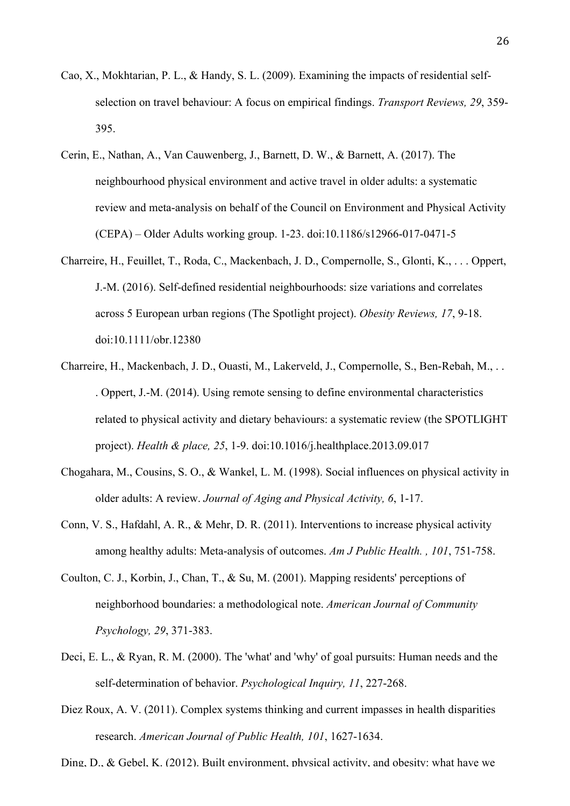- Cao, X., Mokhtarian, P. L., & Handy, S. L. (2009). Examining the impacts of residential selfselection on travel behaviour: A focus on empirical findings. *Transport Reviews, 29*, 359- 395.
- Cerin, E., Nathan, A., Van Cauwenberg, J., Barnett, D. W., & Barnett, A. (2017). The neighbourhood physical environment and active travel in older adults: a systematic review and meta-analysis on behalf of the Council on Environment and Physical Activity (CEPA) – Older Adults working group. 1-23. doi:10.1186/s12966-017-0471-5
- Charreire, H., Feuillet, T., Roda, C., Mackenbach, J. D., Compernolle, S., Glonti, K., . . . Oppert, J.-M. (2016). Self-defined residential neighbourhoods: size variations and correlates across 5 European urban regions (The Spotlight project). *Obesity Reviews, 17*, 9-18. doi:10.1111/obr.12380
- Charreire, H., Mackenbach, J. D., Ouasti, M., Lakerveld, J., Compernolle, S., Ben-Rebah, M., . . . Oppert, J.-M. (2014). Using remote sensing to define environmental characteristics related to physical activity and dietary behaviours: a systematic review (the SPOTLIGHT project). *Health & place, 25*, 1-9. doi:10.1016/j.healthplace.2013.09.017
- Chogahara, M., Cousins, S. O., & Wankel, L. M. (1998). Social influences on physical activity in older adults: A review. *Journal of Aging and Physical Activity, 6*, 1-17.
- Conn, V. S., Hafdahl, A. R., & Mehr, D. R. (2011). Interventions to increase physical activity among healthy adults: Meta-analysis of outcomes. *Am J Public Health. , 101*, 751-758.
- Coulton, C. J., Korbin, J., Chan, T., & Su, M. (2001). Mapping residents' perceptions of neighborhood boundaries: a methodological note. *American Journal of Community Psychology, 29*, 371-383.
- Deci, E. L., & Ryan, R. M. (2000). The 'what' and 'why' of goal pursuits: Human needs and the self-determination of behavior. *Psychological Inquiry, 11*, 227-268.
- Diez Roux, A. V. (2011). Complex systems thinking and current impasses in health disparities research. *American Journal of Public Health, 101*, 1627-1634.

Ding, D., & Gebel, K. (2012). Built environment, physical activity, and obesity: what have we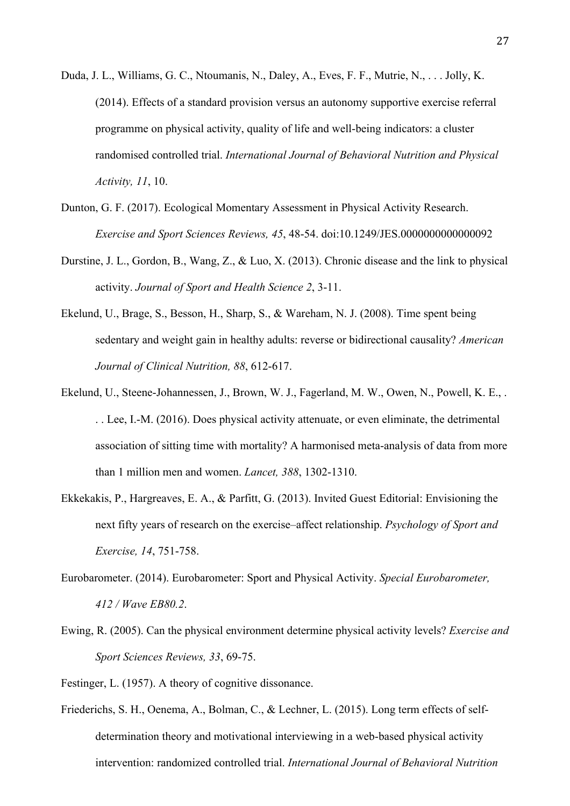- Duda, J. L., Williams, G. C., Ntoumanis, N., Daley, A., Eves, F. F., Mutrie, N., . . . Jolly, K. (2014). Effects of a standard provision versus an autonomy supportive exercise referral programme on physical activity, quality of life and well-being indicators: a cluster randomised controlled trial. *International Journal of Behavioral Nutrition and Physical Activity, 11*, 10.
- Dunton, G. F. (2017). Ecological Momentary Assessment in Physical Activity Research. *Exercise and Sport Sciences Reviews, 45*, 48-54. doi:10.1249/JES.0000000000000092
- Durstine, J. L., Gordon, B., Wang, Z., & Luo, X. (2013). Chronic disease and the link to physical activity. *Journal of Sport and Health Science 2*, 3-11.
- Ekelund, U., Brage, S., Besson, H., Sharp, S., & Wareham, N. J. (2008). Time spent being sedentary and weight gain in healthy adults: reverse or bidirectional causality? *American Journal of Clinical Nutrition, 88*, 612-617.
- Ekelund, U., Steene-Johannessen, J., Brown, W. J., Fagerland, M. W., Owen, N., Powell, K. E., . . . Lee, I.-M. (2016). Does physical activity attenuate, or even eliminate, the detrimental association of sitting time with mortality? A harmonised meta-analysis of data from more than 1 million men and women. *Lancet, 388*, 1302-1310.
- Ekkekakis, P., Hargreaves, E. A., & Parfitt, G. (2013). Invited Guest Editorial: Envisioning the next fifty years of research on the exercise–affect relationship. *Psychology of Sport and Exercise, 14*, 751-758.
- Eurobarometer. (2014). Eurobarometer: Sport and Physical Activity. *Special Eurobarometer, 412 / Wave EB80.2*.
- Ewing, R. (2005). Can the physical environment determine physical activity levels? *Exercise and Sport Sciences Reviews, 33*, 69-75.
- Festinger, L. (1957). A theory of cognitive dissonance.
- Friederichs, S. H., Oenema, A., Bolman, C., & Lechner, L. (2015). Long term effects of selfdetermination theory and motivational interviewing in a web-based physical activity intervention: randomized controlled trial. *International Journal of Behavioral Nutrition*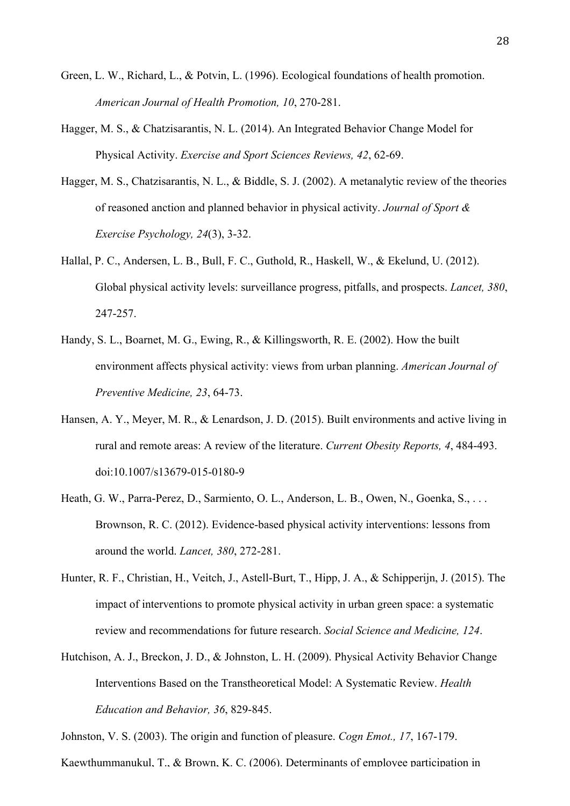- Green, L. W., Richard, L., & Potvin, L. (1996). Ecological foundations of health promotion. *American Journal of Health Promotion, 10*, 270-281.
- Hagger, M. S., & Chatzisarantis, N. L. (2014). An Integrated Behavior Change Model for Physical Activity. *Exercise and Sport Sciences Reviews, 42*, 62-69.
- Hagger, M. S., Chatzisarantis, N. L., & Biddle, S. J. (2002). A metanalytic review of the theories of reasoned anction and planned behavior in physical activity. *Journal of Sport & Exercise Psychology, 24*(3), 3-32.
- Hallal, P. C., Andersen, L. B., Bull, F. C., Guthold, R., Haskell, W., & Ekelund, U. (2012). Global physical activity levels: surveillance progress, pitfalls, and prospects. *Lancet, 380*, 247-257.
- Handy, S. L., Boarnet, M. G., Ewing, R., & Killingsworth, R. E. (2002). How the built environment affects physical activity: views from urban planning. *American Journal of Preventive Medicine, 23*, 64-73.
- Hansen, A. Y., Meyer, M. R., & Lenardson, J. D. (2015). Built environments and active living in rural and remote areas: A review of the literature. *Current Obesity Reports, 4*, 484-493. doi:10.1007/s13679-015-0180-9
- Heath, G. W., Parra-Perez, D., Sarmiento, O. L., Anderson, L. B., Owen, N., Goenka, S., ... Brownson, R. C. (2012). Evidence-based physical activity interventions: lessons from around the world. *Lancet, 380*, 272-281.
- Hunter, R. F., Christian, H., Veitch, J., Astell-Burt, T., Hipp, J. A., & Schipperijn, J. (2015). The impact of interventions to promote physical activity in urban green space: a systematic review and recommendations for future research. *Social Science and Medicine, 124*.
- Hutchison, A. J., Breckon, J. D., & Johnston, L. H. (2009). Physical Activity Behavior Change Interventions Based on the Transtheoretical Model: A Systematic Review. *Health Education and Behavior, 36*, 829-845.

Johnston, V. S. (2003). The origin and function of pleasure. *Cogn Emot., 17*, 167-179.

Kaewthummanukul, T., & Brown, K. C. (2006). Determinants of employee participation in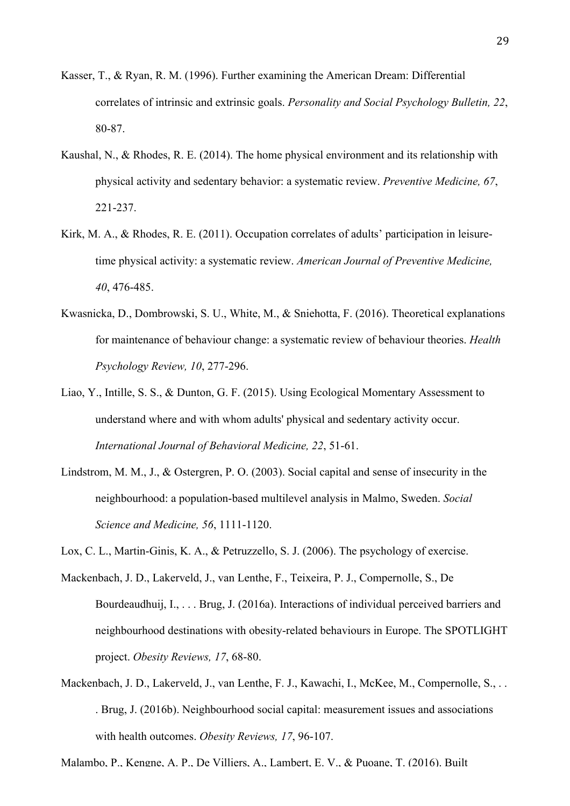- Kasser, T., & Ryan, R. M. (1996). Further examining the American Dream: Differential correlates of intrinsic and extrinsic goals. *Personality and Social Psychology Bulletin, 22*, 80-87.
- Kaushal, N., & Rhodes, R. E. (2014). The home physical environment and its relationship with physical activity and sedentary behavior: a systematic review. *Preventive Medicine, 67*, 221-237.
- Kirk, M. A., & Rhodes, R. E. (2011). Occupation correlates of adults' participation in leisuretime physical activity: a systematic review. *American Journal of Preventive Medicine, 40*, 476-485.
- Kwasnicka, D., Dombrowski, S. U., White, M., & Sniehotta, F. (2016). Theoretical explanations for maintenance of behaviour change: a systematic review of behaviour theories. *Health Psychology Review, 10*, 277-296.
- Liao, Y., Intille, S. S., & Dunton, G. F. (2015). Using Ecological Momentary Assessment to understand where and with whom adults' physical and sedentary activity occur. *International Journal of Behavioral Medicine, 22*, 51-61.
- Lindstrom, M. M., J., & Ostergren, P. O. (2003). Social capital and sense of insecurity in the neighbourhood: a population-based multilevel analysis in Malmo, Sweden. *Social Science and Medicine, 56*, 1111-1120.
- Lox, C. L., Martin-Ginis, K. A., & Petruzzello, S. J. (2006). The psychology of exercise.
- Mackenbach, J. D., Lakerveld, J., van Lenthe, F., Teixeira, P. J., Compernolle, S., De Bourdeaudhuij, I., . . . Brug, J. (2016a). Interactions of individual perceived barriers and neighbourhood destinations with obesity-related behaviours in Europe. The SPOTLIGHT project. *Obesity Reviews, 17*, 68-80.
- Mackenbach, J. D., Lakerveld, J., van Lenthe, F. J., Kawachi, I., McKee, M., Compernolle, S., . . . Brug, J. (2016b). Neighbourhood social capital: measurement issues and associations with health outcomes. *Obesity Reviews, 17*, 96-107.

Malambo, P., Kengne, A. P., De Villiers, A., Lambert, E. V., & Puoane, T. (2016). Built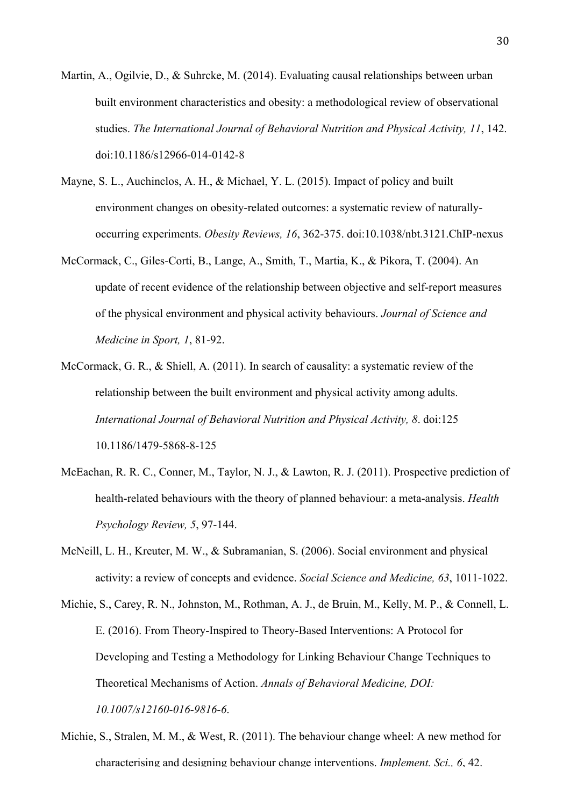- Martin, A., Ogilvie, D., & Suhrcke, M. (2014). Evaluating causal relationships between urban built environment characteristics and obesity: a methodological review of observational studies. *The International Journal of Behavioral Nutrition and Physical Activity, 11*, 142. doi:10.1186/s12966-014-0142-8
- Mayne, S. L., Auchinclos, A. H., & Michael, Y. L. (2015). Impact of policy and built environment changes on obesity-related outcomes: a systematic review of naturallyoccurring experiments. *Obesity Reviews, 16*, 362-375. doi:10.1038/nbt.3121.ChIP-nexus
- McCormack, C., Giles-Corti, B., Lange, A., Smith, T., Martia, K., & Pikora, T. (2004). An update of recent evidence of the relationship between objective and self-report measures of the physical environment and physical activity behaviours. *Journal of Science and Medicine in Sport, 1*, 81-92.
- McCormack, G. R., & Shiell, A. (2011). In search of causality: a systematic review of the relationship between the built environment and physical activity among adults. *International Journal of Behavioral Nutrition and Physical Activity, 8*. doi:125 10.1186/1479-5868-8-125
- McEachan, R. R. C., Conner, M., Taylor, N. J., & Lawton, R. J. (2011). Prospective prediction of health-related behaviours with the theory of planned behaviour: a meta-analysis. *Health Psychology Review, 5*, 97-144.
- McNeill, L. H., Kreuter, M. W., & Subramanian, S. (2006). Social environment and physical activity: a review of concepts and evidence. *Social Science and Medicine, 63*, 1011-1022.
- Michie, S., Carey, R. N., Johnston, M., Rothman, A. J., de Bruin, M., Kelly, M. P., & Connell, L. E. (2016). From Theory-Inspired to Theory-Based Interventions: A Protocol for Developing and Testing a Methodology for Linking Behaviour Change Techniques to Theoretical Mechanisms of Action. *Annals of Behavioral Medicine, DOI: 10.1007/s12160-016-9816-6*.
- Michie, S., Stralen, M. M., & West, R. (2011). The behaviour change wheel: A new method for characterising and designing behaviour change interventions. *Implement. Sci., 6*, 42.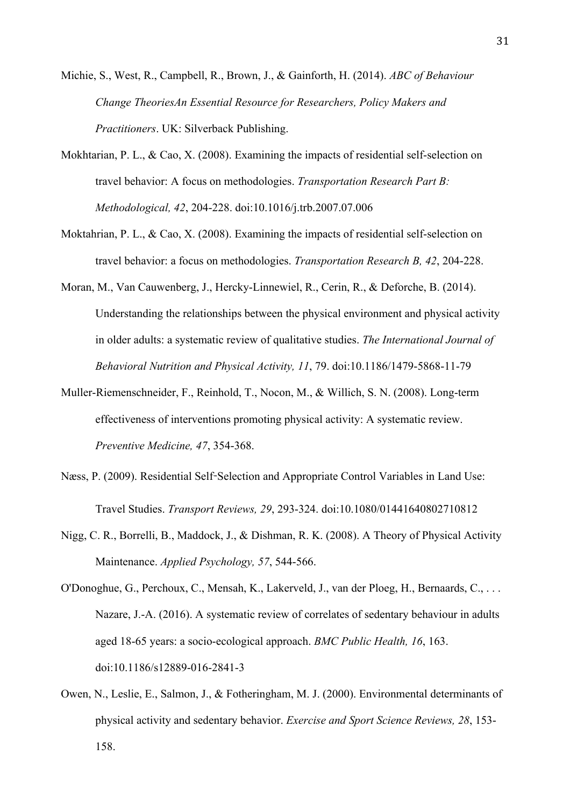Michie, S., West, R., Campbell, R., Brown, J., & Gainforth, H. (2014). *ABC of Behaviour Change TheoriesAn Essential Resource for Researchers, Policy Makers and Practitioners*. UK: Silverback Publishing.

- Mokhtarian, P. L., & Cao, X. (2008). Examining the impacts of residential self-selection on travel behavior: A focus on methodologies. *Transportation Research Part B: Methodological, 42*, 204-228. doi:10.1016/j.trb.2007.07.006
- Moktahrian, P. L., & Cao, X. (2008). Examining the impacts of residential self-selection on travel behavior: a focus on methodologies. *Transportation Research B, 42*, 204-228.
- Moran, M., Van Cauwenberg, J., Hercky-Linnewiel, R., Cerin, R., & Deforche, B. (2014). Understanding the relationships between the physical environment and physical activity in older adults: a systematic review of qualitative studies. *The International Journal of Behavioral Nutrition and Physical Activity, 11*, 79. doi:10.1186/1479-5868-11-79
- Muller-Riemenschneider, F., Reinhold, T., Nocon, M., & Willich, S. N. (2008). Long-term effectiveness of interventions promoting physical activity: A systematic review. *Preventive Medicine, 47*, 354-368.
- Næss, P. (2009). Residential Self-Selection and Appropriate Control Variables in Land Use: Travel Studies. *Transport Reviews, 29*, 293-324. doi:10.1080/01441640802710812
- Nigg, C. R., Borrelli, B., Maddock, J., & Dishman, R. K. (2008). A Theory of Physical Activity Maintenance. *Applied Psychology, 57*, 544-566.
- O'Donoghue, G., Perchoux, C., Mensah, K., Lakerveld, J., van der Ploeg, H., Bernaards, C., . . . Nazare, J.-A. (2016). A systematic review of correlates of sedentary behaviour in adults aged 18-65 years: a socio-ecological approach. *BMC Public Health, 16*, 163. doi:10.1186/s12889-016-2841-3
- Owen, N., Leslie, E., Salmon, J., & Fotheringham, M. J. (2000). Environmental determinants of physical activity and sedentary behavior. *Exercise and Sport Science Reviews, 28*, 153- 158.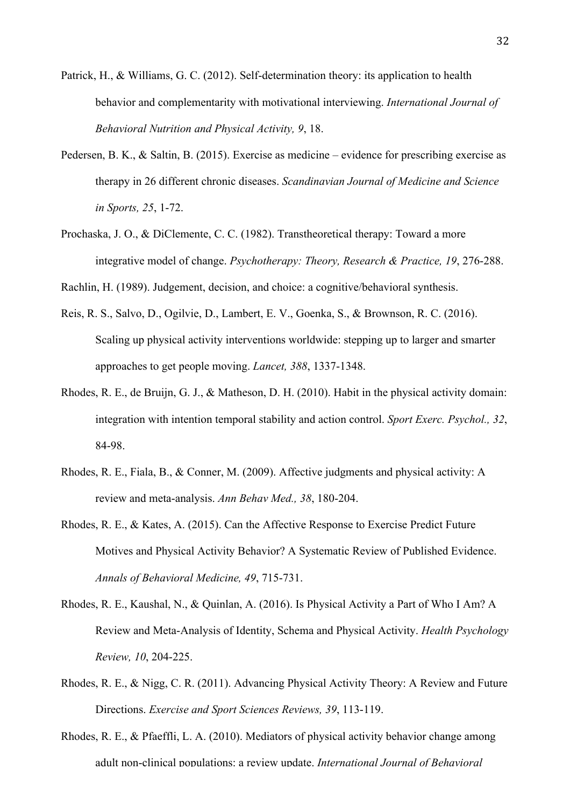- Patrick, H., & Williams, G. C. (2012). Self-determination theory: its application to health behavior and complementarity with motivational interviewing. *International Journal of Behavioral Nutrition and Physical Activity, 9*, 18.
- Pedersen, B. K., & Saltin, B. (2015). Exercise as medicine evidence for prescribing exercise as therapy in 26 different chronic diseases. *Scandinavian Journal of Medicine and Science in Sports, 25*, 1-72.
- Prochaska, J. O., & DiClemente, C. C. (1982). Transtheoretical therapy: Toward a more integrative model of change. *Psychotherapy: Theory, Research & Practice, 19*, 276-288.

Rachlin, H. (1989). Judgement, decision, and choice: a cognitive/behavioral synthesis.

- Reis, R. S., Salvo, D., Ogilvie, D., Lambert, E. V., Goenka, S., & Brownson, R. C. (2016). Scaling up physical activity interventions worldwide: stepping up to larger and smarter approaches to get people moving. *Lancet, 388*, 1337-1348.
- Rhodes, R. E., de Bruijn, G. J., & Matheson, D. H. (2010). Habit in the physical activity domain: integration with intention temporal stability and action control. *Sport Exerc. Psychol., 32*, 84-98.
- Rhodes, R. E., Fiala, B., & Conner, M. (2009). Affective judgments and physical activity: A review and meta-analysis. *Ann Behav Med., 38*, 180-204.
- Rhodes, R. E., & Kates, A. (2015). Can the Affective Response to Exercise Predict Future Motives and Physical Activity Behavior? A Systematic Review of Published Evidence. *Annals of Behavioral Medicine, 49*, 715-731.
- Rhodes, R. E., Kaushal, N., & Quinlan, A. (2016). Is Physical Activity a Part of Who I Am? A Review and Meta-Analysis of Identity, Schema and Physical Activity. *Health Psychology Review, 10*, 204-225.
- Rhodes, R. E., & Nigg, C. R. (2011). Advancing Physical Activity Theory: A Review and Future Directions. *Exercise and Sport Sciences Reviews, 39*, 113-119.
- Rhodes, R. E., & Pfaeffli, L. A. (2010). Mediators of physical activity behavior change among adult non-clinical populations: a review update. *International Journal of Behavioral*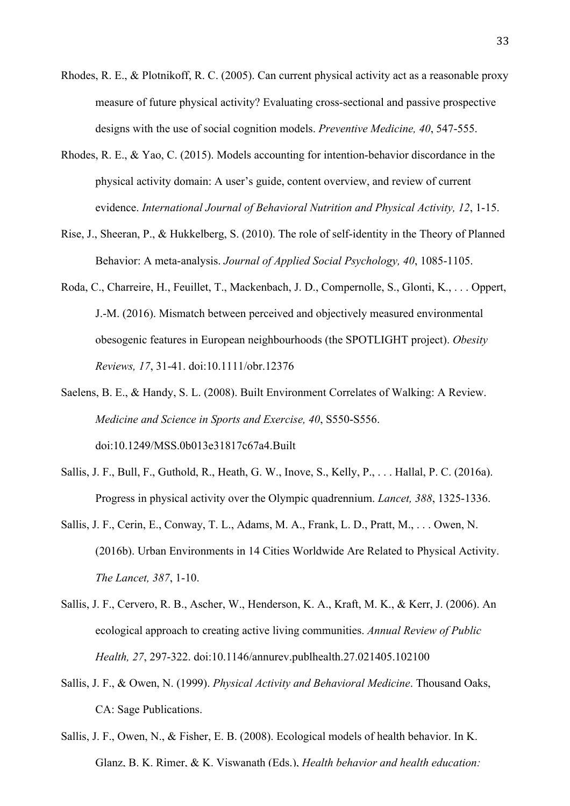- Rhodes, R. E., & Plotnikoff, R. C. (2005). Can current physical activity act as a reasonable proxy measure of future physical activity? Evaluating cross-sectional and passive prospective designs with the use of social cognition models. *Preventive Medicine, 40*, 547-555.
- Rhodes, R. E., & Yao, C. (2015). Models accounting for intention-behavior discordance in the physical activity domain: A user's guide, content overview, and review of current evidence. *International Journal of Behavioral Nutrition and Physical Activity, 12*, 1-15.
- Rise, J., Sheeran, P., & Hukkelberg, S. (2010). The role of self-identity in the Theory of Planned Behavior: A meta-analysis. *Journal of Applied Social Psychology, 40*, 1085-1105.
- Roda, C., Charreire, H., Feuillet, T., Mackenbach, J. D., Compernolle, S., Glonti, K., . . . Oppert, J.-M. (2016). Mismatch between perceived and objectively measured environmental obesogenic features in European neighbourhoods (the SPOTLIGHT project). *Obesity Reviews, 17*, 31-41. doi:10.1111/obr.12376
- Saelens, B. E., & Handy, S. L. (2008). Built Environment Correlates of Walking: A Review. *Medicine and Science in Sports and Exercise, 40*, S550-S556. doi:10.1249/MSS.0b013e31817c67a4.Built
- Sallis, J. F., Bull, F., Guthold, R., Heath, G. W., Inove, S., Kelly, P., . . . Hallal, P. C. (2016a). Progress in physical activity over the Olympic quadrennium. *Lancet, 388*, 1325-1336.
- Sallis, J. F., Cerin, E., Conway, T. L., Adams, M. A., Frank, L. D., Pratt, M., . . . Owen, N. (2016b). Urban Environments in 14 Cities Worldwide Are Related to Physical Activity. *The Lancet, 387*, 1-10.
- Sallis, J. F., Cervero, R. B., Ascher, W., Henderson, K. A., Kraft, M. K., & Kerr, J. (2006). An ecological approach to creating active living communities. *Annual Review of Public Health, 27*, 297-322. doi:10.1146/annurev.publhealth.27.021405.102100
- Sallis, J. F., & Owen, N. (1999). *Physical Activity and Behavioral Medicine*. Thousand Oaks, CA: Sage Publications.
- Sallis, J. F., Owen, N., & Fisher, E. B. (2008). Ecological models of health behavior. In K. Glanz, B. K. Rimer, & K. Viswanath (Eds.), *Health behavior and health education:*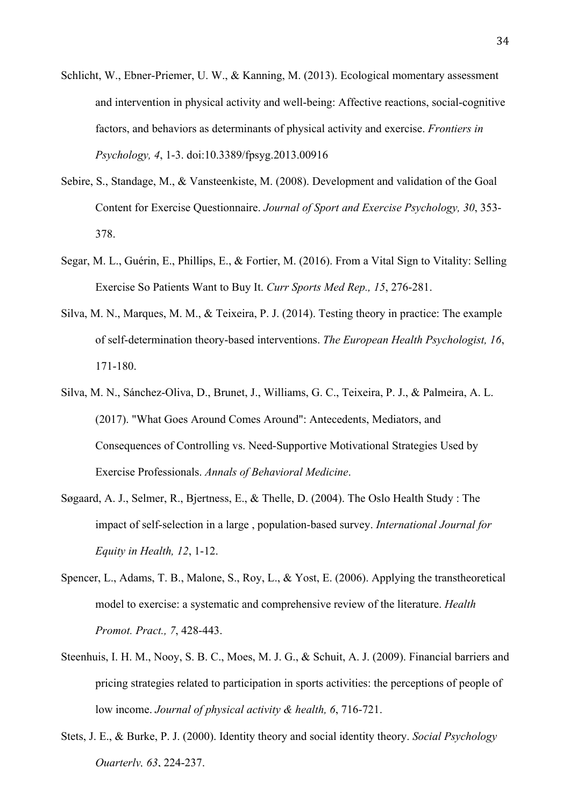- Schlicht, W., Ebner-Priemer, U. W., & Kanning, M. (2013). Ecological momentary assessment and intervention in physical activity and well-being: Affective reactions, social-cognitive factors, and behaviors as determinants of physical activity and exercise. *Frontiers in Psychology, 4*, 1-3. doi:10.3389/fpsyg.2013.00916
- Sebire, S., Standage, M., & Vansteenkiste, M. (2008). Development and validation of the Goal Content for Exercise Questionnaire. *Journal of Sport and Exercise Psychology, 30*, 353- 378.
- Segar, M. L., Guérin, E., Phillips, E., & Fortier, M. (2016). From a Vital Sign to Vitality: Selling Exercise So Patients Want to Buy It. *Curr Sports Med Rep., 15*, 276-281.
- Silva, M. N., Marques, M. M., & Teixeira, P. J. (2014). Testing theory in practice: The example of self-determination theory-based interventions. *The European Health Psychologist, 16*, 171-180.
- Silva, M. N., Sánchez-Oliva, D., Brunet, J., Williams, G. C., Teixeira, P. J., & Palmeira, A. L. (2017). "What Goes Around Comes Around": Antecedents, Mediators, and Consequences of Controlling vs. Need-Supportive Motivational Strategies Used by Exercise Professionals. *Annals of Behavioral Medicine*.
- Søgaard, A. J., Selmer, R., Bjertness, E., & Thelle, D. (2004). The Oslo Health Study : The impact of self-selection in a large , population-based survey. *International Journal for Equity in Health, 12*, 1-12.
- Spencer, L., Adams, T. B., Malone, S., Roy, L., & Yost, E. (2006). Applying the transtheoretical model to exercise: a systematic and comprehensive review of the literature. *Health Promot. Pract., 7*, 428-443.
- Steenhuis, I. H. M., Nooy, S. B. C., Moes, M. J. G., & Schuit, A. J. (2009). Financial barriers and pricing strategies related to participation in sports activities: the perceptions of people of low income. *Journal of physical activity & health, 6*, 716-721.
- Stets, J. E., & Burke, P. J. (2000). Identity theory and social identity theory. *Social Psychology Quarterly, 63*, 224-237.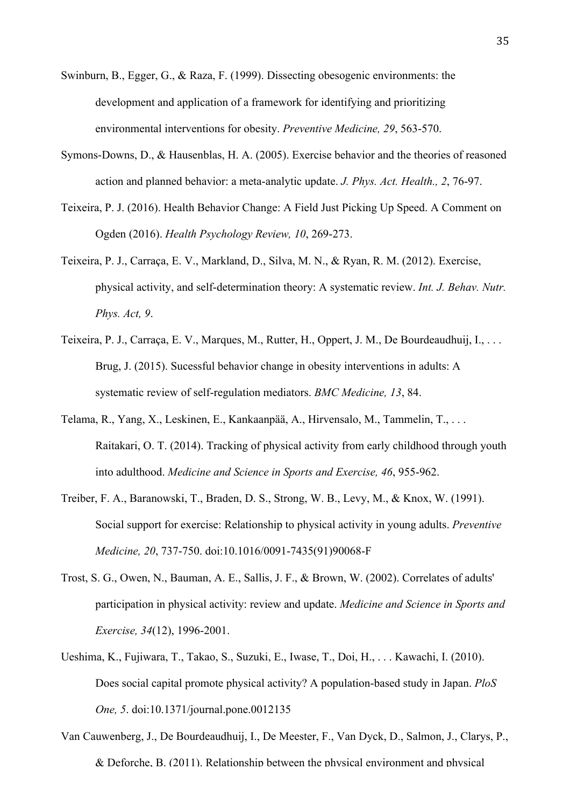- Swinburn, B., Egger, G., & Raza, F. (1999). Dissecting obesogenic environments: the development and application of a framework for identifying and prioritizing environmental interventions for obesity. *Preventive Medicine, 29*, 563-570.
- Symons-Downs, D., & Hausenblas, H. A. (2005). Exercise behavior and the theories of reasoned action and planned behavior: a meta-analytic update. *J. Phys. Act. Health., 2*, 76-97.
- Teixeira, P. J. (2016). Health Behavior Change: A Field Just Picking Up Speed. A Comment on Ogden (2016). *Health Psychology Review, 10*, 269-273.
- Teixeira, P. J., Carraça, E. V., Markland, D., Silva, M. N., & Ryan, R. M. (2012). Exercise, physical activity, and self-determination theory: A systematic review. *Int. J. Behav. Nutr. Phys. Act, 9*.
- Teixeira, P. J., Carraça, E. V., Marques, M., Rutter, H., Oppert, J. M., De Bourdeaudhuij, I., . . . Brug, J. (2015). Sucessful behavior change in obesity interventions in adults: A systematic review of self-regulation mediators. *BMC Medicine, 13*, 84.
- Telama, R., Yang, X., Leskinen, E., Kankaanpää, A., Hirvensalo, M., Tammelin, T., . . . Raitakari, O. T. (2014). Tracking of physical activity from early childhood through youth into adulthood. *Medicine and Science in Sports and Exercise, 46*, 955-962.
- Treiber, F. A., Baranowski, T., Braden, D. S., Strong, W. B., Levy, M., & Knox, W. (1991). Social support for exercise: Relationship to physical activity in young adults. *Preventive Medicine, 20*, 737-750. doi:10.1016/0091-7435(91)90068-F
- Trost, S. G., Owen, N., Bauman, A. E., Sallis, J. F., & Brown, W. (2002). Correlates of adults' participation in physical activity: review and update. *Medicine and Science in Sports and Exercise, 34*(12), 1996-2001.
- Ueshima, K., Fujiwara, T., Takao, S., Suzuki, E., Iwase, T., Doi, H., . . . Kawachi, I. (2010). Does social capital promote physical activity? A population-based study in Japan. *PloS One, 5*. doi:10.1371/journal.pone.0012135
- Van Cauwenberg, J., De Bourdeaudhuij, I., De Meester, F., Van Dyck, D., Salmon, J., Clarys, P., & Deforche, B. (2011). Relationship between the physical environment and physical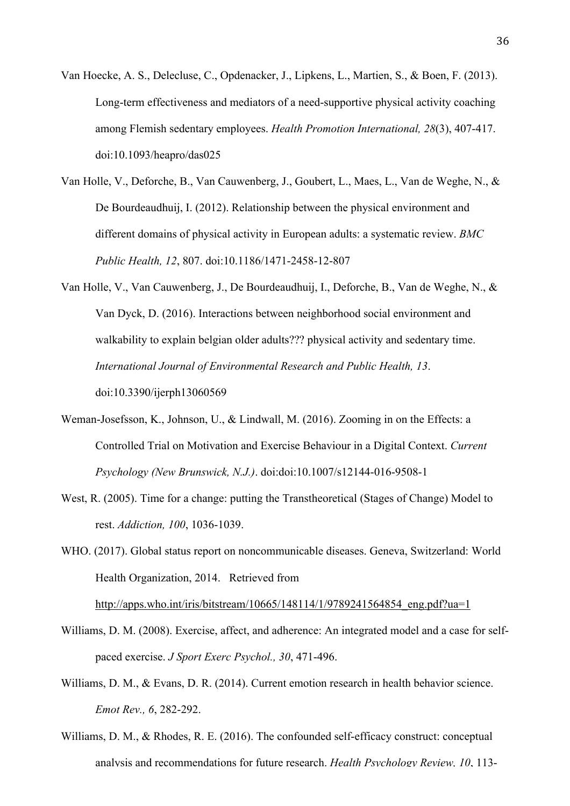- Van Hoecke, A. S., Delecluse, C., Opdenacker, J., Lipkens, L., Martien, S., & Boen, F. (2013). Long-term effectiveness and mediators of a need-supportive physical activity coaching among Flemish sedentary employees. *Health Promotion International, 28*(3), 407-417. doi:10.1093/heapro/das025
- Van Holle, V., Deforche, B., Van Cauwenberg, J., Goubert, L., Maes, L., Van de Weghe, N., & De Bourdeaudhuij, I. (2012). Relationship between the physical environment and different domains of physical activity in European adults: a systematic review. *BMC Public Health, 12*, 807. doi:10.1186/1471-2458-12-807
- Van Holle, V., Van Cauwenberg, J., De Bourdeaudhuij, I., Deforche, B., Van de Weghe, N., & Van Dyck, D. (2016). Interactions between neighborhood social environment and walkability to explain belgian older adults??? physical activity and sedentary time. *International Journal of Environmental Research and Public Health, 13*. doi:10.3390/ijerph13060569
- Weman-Josefsson, K., Johnson, U., & Lindwall, M. (2016). Zooming in on the Effects: a Controlled Trial on Motivation and Exercise Behaviour in a Digital Context. *Current Psychology (New Brunswick, N.J.)*. doi:doi:10.1007/s12144-016-9508-1
- West, R. (2005). Time for a change: putting the Transtheoretical (Stages of Change) Model to rest. *Addiction, 100*, 1036-1039.

WHO. (2017). Global status report on noncommunicable diseases. Geneva, Switzerland: World Health Organization, 2014. Retrieved from http://apps.who.int/iris/bitstream/10665/148114/1/9789241564854 eng.pdf?ua=1

- Williams, D. M. (2008). Exercise, affect, and adherence: An integrated model and a case for selfpaced exercise. *J Sport Exerc Psychol., 30*, 471-496.
- Williams, D. M., & Evans, D. R. (2014). Current emotion research in health behavior science. *Emot Rev., 6*, 282-292.
- Williams, D. M., & Rhodes, R. E. (2016). The confounded self-efficacy construct: conceptual analysis and recommendations for future research. *Health Psychology Review, 10*, 113-